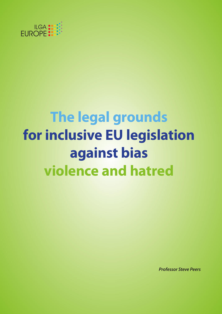

# **The legal grounds for inclusive EU legislation against bias violence and hatred**

*Professor Steve Peers*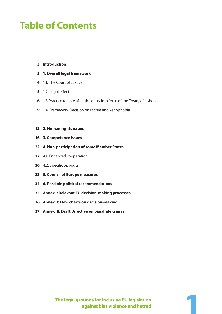## **Table of Contents**

- **Introduction**
- **1. Overall legal framework**
- 1.1. The Court of Justice
- 5 1.2. Legal effect
- 1.3 Practice to date after the entry into force of the Treaty of Lisbon
- 1.4. Framework Decision on racism and xenophobia

#### **2. Human rights issues**

- **3. Competence issues**
- **4. Non-participation of some Member States**
- 4.1. Enhanced cooperation
- 30 4.2. Specific opt-outs
- **5. Council of Europe measures**
- **6. Possible political recommendations**
- **Annex I: Relevant EU decision-making processes**
- **Annex II: Flow charts on decision-making**
- **Annex III: Draft Directive on bias/hate crimes**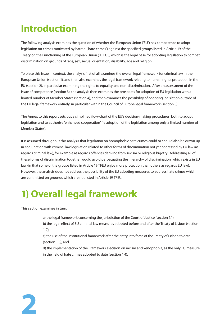## **Introduction**

The following analysis examines the question of whether the European Union ('EU') has competence to adopt legislation on crimes motivated by hatred ('hate crimes') against the specified groups listed in Article 19 of the Treaty on the Functioning of the European Union ('TFEU'), which is the legal base for adopting legislation to combat discrimination on grounds of race, sex, sexual orientation, disability, age and religion.

To place this issue in context, the analysis first of all examines the overall legal framework for criminal law in the European Union (section 1), and then also examines the legal framework relating to human rights protection in the EU (section 2), in particular examining the rights to equality and non-discrimination. After an assessment of the issue of competence (section 3), the analysis then examines the prospects for adoption of EU legislation with a limited number of Member States (section 4), and then examines the possibility of adopting legislation outside of the EU legal framework entirely, in particular within the Council of Europe legal framework (section 5).

The Annex to this report sets out a simplified flow-chart of the EU's decision-making procedures, both to adopt legislation and to authorise 'enhanced cooperation' (ie adoption of the legislation among only a limited number of Member States).

It is assumed throughout this analysis that legislation on homophobic hate crimes could or should also be drawn up in conjunction with criminal law legislation related to other forms of discrimination not yet addressed by EU law (as regards criminal law), for example as regards offences deriving from sexism or religious bigotry. Addressing all of these forms of discrimination together would avoid perpetuating the 'hierarchy of discrimination' which exists in EU law (in that some of the groups listed in Article 19 TFEU enjoy more protection than others as regards EU law). However, the analysis does not address the possibility of the EU adopting measures to address hate crimes which are committed on grounds which are not listed in Article 19 TFEU.

## **1) Overall legal framework**

This section examines in turn:

**2**

- a) the legal framework concerning the jurisdiction of the Court of Justice (section 1.1);
- b) the legal effect of EU criminal law measures adopted before and after the Treaty of Lisbon (section 1.2);
- c) the use of the institutional framework after the entry into force of the Treaty of Lisbon to date (section 1.3); and
- d) the implementation of the Framework Decision on racism and xenophobia, as the only EU measure in the field of hate crimes adopted to date (section 1.4).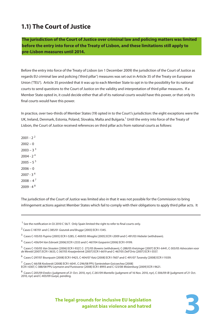### **1.1) The Court of Justice**

**The jurisdiction of the Court of Justice over criminal law and policing matters was limited before the entry into force of the Treaty of Lisbon, and these limitations still apply to pre-Lisbon measures until 2014.**

Before the entry into force of the Treaty of Lisbon (on 1 December 2009) the jurisdiction of the Court of Justice as regards EU criminal law and policing ('third pillar') measures was set out in Article 35 of the Treaty on European Union ('TEU'). Article 35 provided that it was up to each Member State to opt in to the possibility for its national courts to send questions to the Court of Justice on the validity and interpretation of third pillar measures. If a Member State opted in, it could decide either that all of its national courts would have this power, or that only its final courts would have this power.

In practice, over two-thirds of Member States (19) opted in to the Court's jurisdiction: the eight exceptions were the UK, Ireland, Denmark, Estonia, Poland, Slovakia, Malta and Bulgaria.<sup>1</sup> Until the entry into force of the Treaty of Lisbon, the Court of Justice received references on third pillar acts from national courts as follows:

 $2001 - 2^{2}$  $2002 - 0$  $2003 - 3^{3}$  $2004 - 2<sup>4</sup>$  $2005 - 5^{5}$  $2006 - 0$  $2007 - 3^{6}$  $2008 - 4^7$  $2009 - 48$ 

The jurisdiction of the Court of Justice was limited also in that it was not possible for the Commission to bring infringement actions against Member States which fail to comply with their obligations to apply third pillar acts. It

<sup>1</sup> See the notification in OJ 2010 C 56/7. Only Spain limited the right to refer to final courts only.

<sup>3</sup> Cases C-105/03 Pupino [2005] ECR I-5285, C-469/03 Miraglia [2005] ECR I-2009 and C-491/03 Hiebeler (withdrawn).

4 Cases C-436/04 Van Esbroek [2006] ECR I-2333 and C-467/04 Gasparini [2006] ECR I-9199.

<sup>5</sup> Cases C-150/05 Van Straaten [2006] ECR I-9327, C- 272/05 Bowens (withdrawn), C-288/05 Kretzinger [2007] ECR I-6441, C-303/05 Advocaten voor de Wereld [2007] ECR I-3633, C-367/05 Kraaijenbrink [2007] ECR I-6619 and C-467/05 Dell'Orto [2007] ECR I-5557.

<sup>6</sup> Cases C-297/07 Bourquain [2008] ECR I-9425, C-404/07 Katz [2008] ECR I-7607 and C-491/07 Turansky [2008] ECR I-11039.

<sup>7</sup> Cases C-66/08 Koslowski [2008] ECR I-6041, C-296/08 PPU Santesteban Goicoechea [2008] ECR I-6307, C-388/08 PPU Leymann and Pustovarov [2008] ECR I-8993 and C-123/08 Wolzenburg [2009] ECR I-9621.

 $^8$  Cases C-205/09 *Eredics* (judgment of 21 Oct. 2010, nyr), C-261/09 *Mantello* (judgment of 16 Nov. 2010, nyr), C-306/09 IB (judgment of 21 Oct. 2010, nyr) and C-403/09 Gueye, pending.



 $2$  Cases C-187/01 and C-385/01 Gozutok and Brugge [2003] ECR I-1345.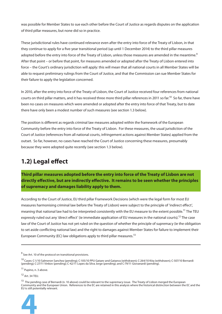was possible for Member States to sue each other before the Court of Justice as regards disputes on the application of third pillar measures, but none did so in practice.

These jurisdictional rules have continued relevance even after the entry into force of the Treaty of Lisbon, in that they continue to apply for a five-year transitional period (up until 1 December 2014) to the third pillar measures adopted before the entry into force of the Treaty of Lisbon, unless those measures are amended in the meantime. $^9$ After that point – or before that point, for measures amended or adopted after the Treaty of Lisbon entered into force – the Court's ordinary jurisdiction will apply: this will mean that all national courts in all Member States will be able to request preliminary rulings from the Court of Justice, and that the Commission can sue Member States for their failure to apply the legislation concerned.

In 2010, after the entry into force of the Treaty of Lisbon, the Court of Justice received four references from national courts on third pillar matters, and it has received three more third pillar references in 2011 so far.<sup>10</sup> So far, there have been no cases on measures which were amended or adopted after the entry into force of that Treaty, but to date there have only been a modest number of such measures (see section 1.3 below).

The position is different as regards criminal law measures adopted within the framework of the European Community before the entry into force of the Treaty of Lisbon. For these measures, the usual jurisdiction of the Court of Justice (references from all national courts, infringement actions against Member States) applied from the outset. So far, however, no cases have reached the Court of Justice concerning these measures, presumably because they were adopted quite recently (see section 1.3 below).

### **1.2) Legal effect**

**Third pillar measures adopted before the entry into force of the Treaty of Lisbon are not**  directly effective, but are indirectly effective. It remains to be seen whether the principles **of supremacy and damages liability apply to them.**

According to the Court of Justice, EU third pillar Framework Decisions (which were the legal form for most EU measures harmonising criminal law before the Treaty of Lisbon) were subject to the principle of 'indirect effect', meaning that national law had to be interpreted consistently with the EU measure to the extent possible.<sup>11</sup> The TEU expressly ruled out any 'direct effect' (ie immediate application of EU measures in the national courts).<sup>12</sup> The case law of the Court of Justice has not yet ruled on the question of whether the principle of supremacy (ie the obligation to set aside conflicting national law) and the right to damages against Member States for failure to implement their European Community (EC) law obligations apply to third pillar measures.<sup>13</sup>

11 Pupino, n. 3 above.

12 Art. 34 TEU.

<sup>&</sup>lt;sup>13</sup> The pending case of Bernardi (n. 10 above) could be relevant to the supremacy issue. The Treaty of Lisbon merged the European Community and the European Union. References to the EC are retained in this analysis where the historical distinction between the EC and the EU is still potentially relevant.



<sup>&</sup>lt;sup>9</sup> See Art. 10 of the protocol on transitional provisions.

<sup>10</sup> Cases: C-1/10 Salmeron Sanchez (pending); C-105/10 PPU Gataev and Gataeva (withdrawn); C-264/10 Kita (withdrawn); C-507/10 Bernardi (pending); C-27/11 Vinkov (pending); C-42/11 Lopes da Silva Jorge (pending); and C-79/11 Giovanardi (pending).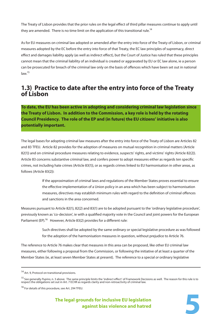The Treaty of Lisbon provides that the prior rules on the legal effect of third pillar measures continue to apply until they are amended. There is no time limit on the application of this transitional rule.<sup>14</sup>

As for EU measures on criminal law adopted or amended after the entry into force of the Treaty of Lisbon, or criminal measures adopted by the EC before the entry into force of that Treaty, the EC law principles of supremacy, direct effect and damages liability apply (as well as indirect effect), but the Court of Justice has ruled that these principles cannot mean that the criminal liability of an individual is created or aggravated by EU or EC law alone, ie a person can be prosecuted for breach of the criminal law only on the basis of offences which have been set out in national  $law<sup>15</sup>$ 

### **1.3) Practice to date after the entry into force of the Treaty of Lisbon**

**To date, the EU has been active in adopting and considering criminal law legislation since the Treaty of Lisbon. In addition to the Commission, a key role is held by the rotating Council Presidency. The role of the EP and (in future) the EU citizens' initiative is also potentially important.**

The legal bases for adopting criminal law measures after the entry into force of the Treaty of Lisbon are Articles 82 and 83 TFEU. Article 82 provides for the adoption of measures on mutual recognition in criminal matters (Article 82(1)) and on criminal procedure measures relating to evidence, suspects' rights, and victims' rights (Article 82(2)). Article 83 concerns substantive criminal law, and confers power to adopt measures either as regards ten specific crimes, not including hate crimes (Article 83(1)), or as regards crimes linked to EU harmonisation in other areas, as follows (Article 83(2)):

> If the approximation of criminal laws and regulations of the Member States proves essential to ensure the effective implementation of a Union policy in an area which has been subject to harmonisation measures, directives may establish minimum rules with regard to the definition of criminal offences and sanctions in the area concerned.

Measures pursuant to Article 82(1), 82(2) and 83(1) are to be adopted pursuant to the 'ordinary legislative procedure', previously known as 'co-decision', ie with a qualified majority vote in the Council and joint powers for the European Parliament (EP).<sup>16</sup> However, Article 83(2) provides for a different rule:

> Such directives shall be adopted by the same ordinary or special legislative procedure as was followed for the adoption of the harmonisation measures in question, without prejudice to Article 76.

The reference to Article 76 makes clear that measures in this area can be proposed, like other EU criminal law measures, either following a proposal from the Commission, or following the initiative of at least a quarter of the Member States (ie, at least seven Member States at present). The reference to a special or ordinary legislative



<sup>&</sup>lt;sup>14</sup> Art. 9, Protocol on transitional provisions.

<sup>&</sup>lt;sup>15</sup> See generally Pupino, n. 3 above. The same principle limits the 'indirect effect' of Framework Decisions as well. The reason for this rule is to respect the obligations set out in Art. 7 ECHR as regards clarity and non-retroactivity of criminal law.

<sup>&</sup>lt;sup>16</sup> For details of this procedure, see Art. 294 TFEU.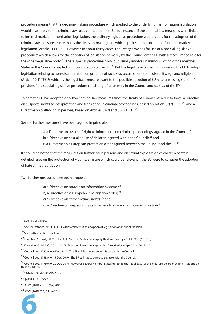procedure means that the decision-making procedure which applied to the underlying harmonisation legislation would also apply to the criminal law rules connected to it. So, for instance, if the criminal law measures were linked to internal market harmonisation legislation, the ordinary legislative procedure would apply for the adoption of the criminal law measures, since that is the decision-making rule which applies to the adoption of internal market legislation (Article 114 TFEU). However, in about thirty cases, the Treaty provides for use of a 'special legislative procedure' which allows for the adoption of legislation primarily by the Council or the EP, with a more limited role for the other legislative body. <sup>17</sup> These special procedures vary, but usually involve unanimous voting of the Member States in the Council, coupled with consultation of the EP. <sup>18</sup> But the legal base conferring power on the EU to adopt legislation relating to non-discrimination on grounds of race, sex, sexual orientation, disability, age and religion (Article 19(1) TFEU), which is the legal base most relevant to the possible adoption of EU hate crimes legislation,<sup>19</sup> provides for a special legislative procedure consisting of unanimity in the Council and consent of the EP.

To date the EU has adopted only two criminal law measures since the Treaty of Lisbon entered into force: a Directive on suspects' rights to interpretation and translation in criminal proceedings, based on Article 82(2) TFEU,<sup>20</sup> and a Directive on trafficking in persons, based on Articles 82(2) and 83(1) TFEU.<sup>21</sup>

Several further measures have been agreed in principle:

- a) a Directive on suspects' right to information on criminal proceedings, agreed in the Council; $^{22}$
- b) a Directive on sexual abuse of children, agreed within the Council; <sup>23</sup> and
- c) a Directive on a European protection order, agreed between the Council and the EP.  $^{24}$

It should be noted that the measures on trafficking in persons and on sexual exploitation of children contain detailed rules on the protection of victims, an issue which could be relevant if the EU were to consider the adoption of hate crimes legislation.

Two further measures have been proposed:

- a) a Directive on attacks on information systems; $^{25}$
- b) a Directive on a European investigation order; <sup>26</sup>
- c) a Directive on crime victims' rights; 27 and
- d) a Directive on suspects' rights to access to a lawyer and communication.<sup>28</sup>

25 COM (2010) 517, 30 Sep. 2010.

26 [2010] OJ C 165/22.

<sup>28</sup> COM (2011) 326, 7 June 2011.



<sup>&</sup>lt;sup>17</sup> See Art. 289 TFEU.

<sup>&</sup>lt;sup>18</sup> See for instance, Art. 113 TFEU, which concerns the adoption of legislation on indirect taxation.

<sup>&</sup>lt;sup>19</sup> See further section 3 below.

<sup>20</sup> Directive 2010/64, OJ 2010 L 280/1. Member States must apply this Directive by 27 Oct. 2013 (Art. 9(1)).

<sup>21</sup> Directive 2011/36, OJ 2011 L 101/1. Member States must apply this Directive by 6 Apr. 2013 (Art. 22(1)).

<sup>22</sup> Council doc. 17503/10, 6 Dec. 2010. The EP still has to agree to this text with the Council.

<sup>&</sup>lt;sup>23</sup> Council doc. 17583/10, 15 Dec. 2010. The EP still has to agree to this text with the Council.

<sup>&</sup>lt;sup>24</sup> Council doc. 17750/10, 20 Dec. 2010. However, several Member States object to the 'legal base' of this measure, so are blocking its adoption by the Council.

<sup>27</sup> COM (2011) 275, 18 May 2011.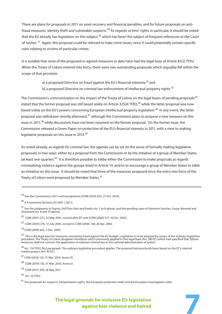There are plans for proposals in 2011 on asset recovery and financial penalties, and for future proposals on antifraud measures, identity theft and vulnerable suspects.<sup>29</sup> As regards victims' rights in particular, it should be noted that the EU already has legislation on this subject,<sup>30</sup> which has been the subject of frequent references to the Court of Justice.<sup>31</sup> Again, this proposal could be relevant to hate crime issues, since it could potentially contain specific rules relating to victims of particular crimes.

It is notable that none of the proposed or agreed measures to date have had the legal base of Article 83(2) TFEU. When the Treaty of Lisbon entered into force, there were two outstanding proposals which arguably fell within the scope of that provision:

a) a proposed Directive on fraud against the EU's financial interests;<sup>32</sup> and

b) a proposed Directive on criminal law enforcement of intellectual property rights.<sup>33</sup>

The Commission's communication on the impact of the Treaty of Lisbon on the legal bases of pending proposals<sup>34</sup> stated that the former proposal was still based solely on Article 325(4) TFEU,<sup>35</sup> while the latter proposal was now based solely on the EU's powers concerning European intellectual property legislation.<sup>36</sup> In any event, the latter proposal was withdrawn shortly afterward,<sup>37</sup> although the Commission plans to propose a new measure on this issue in 2011,<sup>38</sup> while discussions have not been resumed on the former proposal. On the former issue, the Commission released a Green Paper on protection of the EU's financial interests in 2011, with a view to making legislative proposals on this issue in 2013.<sup>39</sup>

As noted already, as regards EU criminal law, the agenda can be set (in the sense of formally making legislative proposals) in two ways: either by a proposal from the Commission or by the initiative of a group of Member States (at least one-quarter).40 It is therefore possible to lobby either the Commission to make proposals as regards criminalising violence against the groups listed in Article 19, and/or to encourage a group of Member States to table an initiative on this issue. It should be noted that three of the measures proposed since the entry into force of the Treaty of Lisbon were proposed by Member States.<sup>41</sup>

<sup>29</sup> See the Commission's 2011 work programme (COM (2010) 623, 27 Oct. 2010).

<sup>30</sup> A Framework decision (OJ 2001 L 82/1).

<sup>&</sup>lt;sup>31</sup> See the judgments in *Pupino, Dell'Orto, Katz* and *Eredics* (ns. 3 to 8 above), and the pending cases of S*almeron Sanchez, Gueye, Bernardi* and Giovanardi (ns. 8 and 10 above).

<sup>32</sup> COM (2001) 272, 22 May 2001, revised after EP vote (COM (2002) 577, 16 Oct. 2002).

<sup>33</sup> COM (2005) 276, 12 July 2005, revised in COM (2006) 168, 26 Apr. 2006.

<sup>34</sup> COM (2009) 665, 2 Dec. 2009.

<sup>&</sup>lt;sup>35</sup> This is the legal base for measures concerning fraud against the EU budget. Legislation is to be adopted by means of the ordinary legislative procedure. The Treaty of Lisbon dropped a limitation which previously applied to this legal base (Art. 280 EC) which had specified that '[t]hese measures shall not concern the application of national criminal law or the national administration of justice.'

<sup>&</sup>lt;sup>36</sup> Art. 118 TFEU, first paragraph. The ordinary legislative procedure applies. The proposal had previously been based on the EC's internal market powers (Art. 95 EC).

<sup>37</sup> COM (2010) 135, 31 Mar. 2010, Annex IV.

<sup>38</sup> COM (2010) 135, 31 Mar. 2010, Annex II.

<sup>39</sup> COM (2011) 293, 26 May 2011.

<sup>40</sup> Art. 76 TFEU.

 $41$  The proposals for suspects' interpretation rights, the European protection order and the European investigation order.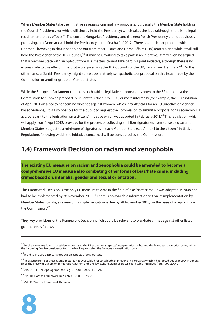Where Member States take the initiative as regards criminal law proposals, it is usually the Member State holding the Council Presidency (or which will shortly hold the Presidency) which takes the lead (although there is no legal requirement to this effect).<sup>42</sup> The current Hungarian Presidency and the next Polish Presidency are not obviously promising, but Denmark will hold the Presidency in the first half of 2012. There is a particular problem with Denmark, however, in that it has an opt-out from most Justice and Home Affairs (JHA) matters, and while it will still hold the Presidency of the JHA Council,<sup>43</sup> it may be unwilling to take part in an initiative. It may even be argued that a Member State with an opt-out from JHA matters cannot take part in a joint initiative, although there is no express rule to this effect in the protocols governing the JHA opt-outs of the UK, Ireland and Denmark.<sup>44</sup> On the other hand, a Danish Presidency might at least be relatively sympathetic to a proposal on this issue made by the Commission or another group of Member States.

While the European Parliament cannot as such table a legislative proposal, it is open to the EP to request the Commission to submit a proposal, pursuant to Article 225 TFEU, or more informally (for example, the EP resolution of April 2011 on a policy concerning violence against women, which inter alia calls for an EU Directive on genderbased violence). It is also possible for the public to request the Commission to submit a proposal for a secondary EU act, pursuant to the legislation on a citizens' initiative which was adopted in February 2011.<sup>45</sup> This legislation, which will apply from 1 April 2012, provides for the process of collecting a million signatories from at least a quarter of Member States, subject to a minimum of signatures in each Member State (see Annex I to the citizens' initiative Regulation), following which the initiative concerned will be considered by the Commission.

### **1.4) Framework Decision on racism and xenophobia**

**The existing EU measure on racism and xenophobia could be amended to become a comprehensive EU measure also combating other forms of bias/hate crime, including crimes based on, inter alia, gender and sexual orientation.**

This Framework Decision is the only EU measure to date in the field of bias/hate crime. It was adopted in 2008 and had to be implemented by 28 November 2010.<sup>46</sup> There is no available information yet on its implementation by Member States to date; a review of its implementation is due by 28 November 2013, on the basis of a report from the Commission.<sup>47</sup>

They key provisions of the Framework Decision which could be relevant to bias/hate crimes against other listed groups are as follows:

<sup>&</sup>lt;sup>47</sup> Art. 10(2) of the Framework Decision.



 $^{42}$  le, the incoming Spanish presidency proposed the Directives on suspects' interpretation rights and the European protection order, while the incoming Belgian presidency took the lead in proposing the European investigation order.

<sup>&</sup>lt;sup>43</sup> It did so in 2002 despite its opt-out on aspects of JHA matters.

<sup>44</sup> In practice none of these Member States has ever tabled (or co-tabled) an initiative in a JHA area which it had opted out of, ie JHA in general since the Treaty of Lisbon, or immigration, asylum and civil law (where Member States could table initiatives from 1999-2004).

<sup>45</sup> Art. 24 TFEU, first paragraph; see Reg. 211/2011, OJ 2011 L 65/1.

<sup>46</sup> Art. 10(1) of the Framework Decision (OJ 2008 L 328/55).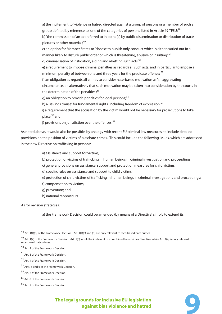a) the incitement to 'violence or hatred directed against a group of persons or a member of such a group defined by reference to' one of the categories of persons listed in Article 19 TFEU;<sup>48</sup> b) 'the commission of an act referred to in point (a) by public dissemination or distribution of tracts, pictures or other material';<sup>49</sup> c) an option for Member States to 'choose to punish only conduct which is either carried out in a manner likely to disturb public order or which is threatening, abusive or insulting'<sup>50</sup> d) criminalisation of instigation, aiding and abetting such acts: $51$ e) a requirement to impose criminal penalties as regards all such acts, and in particular to impose a minimum penalty of between one and three years for the predicate offence;  $52$ f) an obligation as regards all crimes to consider hate-based motivation as 'an aggravating circumstance, or, alternatively that such motivation may be taken into consideration by the courts in the determination of the penalties', $53$ g) an obligation to provide penalties for legal persons;<sup>54</sup> h) a 'savings clause' for fundamental rights, including freedom of expression;<sup>55</sup> i) a requirement that the accusation by the victim would not be necessary for prosecutions to take place;56 and

j) provisions on jurisdiction over the offences. $57$ 

As noted above, it would also be possible, by analogy with recent EU criminal law measures, to include detailed provisions on the position of victims of bias/hate crimes. This could include the following issues, which are addressed in the new Directive on trafficking in persons:

a) assistance and support for victims;

b) protection of victims of trafficking in human beings in criminal investigation and proceedings;

c) general provisions on assistance, support and protection measures for child victims;

d) specific rules on assistance and support to child victims;

- e) protection of child victims of trafficking in human beings in criminal investigations and proceedings;
- f) compensation to victims;
- g) prevention; and
- h) national rapporteurs.

As for revision strategies:

a) the Framework Decision could be amended (by means of a Directive) simply to extend its

48 Art. 1(1)(b) of the Framework Decision. Art. 1(1)(c) and (d) are only relevant to race-based hate crimes.

 $^{49}$  Art. 1(2) of the Framework Decision. Art. 1(3) would be irrelevant in a combined hate crimes Directive, while Art. 1(4) is only relevant to race-based hate crimes.

50 Art. 2 of the Framework Decision.

51 Art. 3 of the Framework Decision.

52 Art. 4 of the Framework Decision.

53 Arts. 5 and 6 of the Framework Decision.

54 Art. 7 of the Framework Decision.

55 Art. 8 of the Framework Decision.

<sup>56</sup> Art. 9 of the Framework Decision.

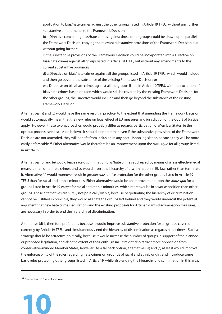application to bias/hate crimes against the other groups listed in Article 19 TFEU, without any further substantive amendments to the Framework Decision;

b) a Directive concerning bias/hate crimes against those other groups could be drawn up to parallel the Framework Decision, copying the relevant substantive provisions of the Framework Decision but without going further;

c) the substantive provisions of the Framework Decision could be incorporated into a Directive on bias/hate crimes against all groups listed in Article 19 TFEU, but without any amendments to the current substantive provisions;

d) a Directive on bias/hate crimes against all the groups listed in Article 19 TFEU, which would include and then go beyond the substance of the existing Framework Decision; or

e) a Directive on bias/hate crimes against all the groups listed in Article 19 TFEU, with the exception of bias/hate crimes based on race, which would still be covered by the existing Framework Decision; for the other groups, the Directive would include and then go beyond the substance of the existing Framework Decision.

Alternatives (a) and (c) would have the same result in practice, to the extent that amending the Framework Decision would automatically mean that the new rules on legal effect of EU measures and jurisdiction of the Court of Justice apply. However, these two approaches would probably differ as regards participation of Member States, ie the opt-out process (see discussion below). It should be noted that even if the substantive provisions of the Framework Decision are not amended, they will benefit from inclusion in any post-Lisbon legislation because they will be more easily enforceable.<sup>58</sup> Either alternative would therefore be an improvement upon the *status quo* for all groups listed in Article 19.

Alternatives (b) and (e) would leave race discrimination bias/hate crimes addressed by means of a less effective legal measure than other hate crimes, and so would invert the hierarchy of discrimination in EU law, rather than terminate it. Alternative (e) would moreover result in greater substantive protection for the other groups listed in Article 19 TFEU than for racial and ethnic minorities. Either alternative would be an improvement upon the status quo for all groups listed in Article 19 except for racial and ethnic minorities, which moreover be in a worse position than other groups. These alternatives are surely not politically viable, because perpetuating the hierarchy of discrimination cannot be justified in principle, they would alienate the groups left behind and they would undercut the potential argument that new hate crimes legislation (and the existing proposals for Article 19 anti-discrimination measures) are necessary in order to end the hierarchy of discrimination.

Alternative (d) is therefore preferable, because it would improve substantive protection for all groups covered currently by Article 19 TFEU, and simultaneously end the hierarchy of discrimination as regards hate crimes. Such a strategy should be attractive politically, because it would increase the number of groups in support of the planned or proposed legislation, and also the extent of their enthusiasm. It might also attract more opposition from conservative-minded Member States, however. As a fallback option, alternatives (a) and (c) at least would improve the enforceability of the rules regarding hate crimes on grounds of racial and ethnic origin, and introduce some basic rules protecting other groups listed in Article 19, while also ending the hierarchy of discrimination in this area.

58 See sections 1.1 and 1.2 above.

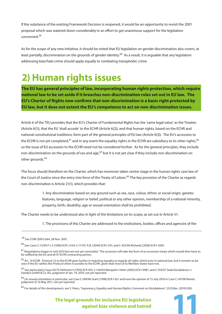If the substance of the existing Framework Decision is reopened, it would be an opportunity to revisit the 2001 proposal which was watered down considerably in an effort to get unanimous support for the legislation concerned.<sup>59</sup>

As for the scope of any new initiative, it should be noted that EU legislation on gender discrimination also covers, at least partially, discrimination on the grounds of gender identity.<sup>60</sup> As a result, it is arguable that any legislation addressing bias/hate crime should apply equally to combating transphobic crime.

## **2) Human rights issues**

**The EU has general principles of law, incorporating human rights protection, which require national law to be set aside if it breaches non-discrimination rules set out in EU law. The EU's Charter of Rights now confirms that non-discrimination is a basic right protected by EU law, but it does not extent the EU's competence to act on non-discrimination issues.**

Article 6 of the TEU provides that the EU's Charter of Fundamental Rights has the 'same legal value' as the Treaties (Article 6(1)), that the EU 'shall accede' to the ECHR (Article 6(2)), and that human rights, based on the ECHR and national constitutional traditions, form part of the general principles of EU law (Article 6(3)). The EU's accession to the ECHR is not yet completed,<sup>61</sup> and in any event the equality rights in the ECHR are subsidiary to its other rights,<sup>62</sup> so the issue of EU accession to the ECHR need not be considered further. As for the general principles, they include non-discrimination on the grounds of sex and age,<sup>63</sup> but it is not yet clear if they include non-discrimination on other grounds.<sup>64</sup>

The focus should therefore on the Charter, which has moreover taken centre-stage in the human rights case law of the Court of Justice since the entry into force of the Treaty of Lisbon.<sup>65</sup> The key provision of the Charter as regards non-discrimination is Article 21(1), which provides that:

> 1. Any discrimination based on any ground such as sex, race, colour, ethnic or social origin, genetic features, language, religion or belief, political or any other opinion, membership of a national minority, property, birth, disability, age or sexual orientation shall be prohibited.

The Charter needs to be understood also in light of the limitations on its scope, as set out in Article 51:

1. The provisions of this Charter are addressed to the institutions, bodies, offices and agencies of the

65 For details of this development, see S. Peers, 'Supremacy, Equality and Human Rights: Comment on Kücükdeveci', 35 ELRev. (2010) 850.

 <sup>59</sup> See COM (2001) 664, 28 Nov. 2001.

<sup>60</sup> See Cases C-13/94 P v S [1996] ECR I-2143; C-117/01 K.B. [2004] ECR I-541; and C-423/04 Richards [2006] ECR I-3585.

<sup>&</sup>lt;sup>61</sup> Negotiations began in mid-2010 but are not yet concluded. The accession will take the form of an accession treaty which would then have to be ratifi ed by the EU and all 47 ECHR contracting parties.

 $62$  Art. 14 ECHR. Protocol 12 to the ECHR goes further in requiring equality as regards all rights which exist in national law, but it remains to be seen if the EU ratifies this Protocol when it accedes to the ECHR, given that most of its Member States have not.

<sup>63</sup> See particularly Cases 43/75 Defrenne II [1976] ECR 455, C-144/04 Mangold v Helm [2005] ECR I-9981, and C-555/07 Seda Kücükdeveci v Swedex GmbH & Co. KG, judgment of Jan. 19, 2010, not yet reported.

<sup>&</sup>lt;sup>64</sup> On sexual orientation in particular, see Case C-249/96 Grant [1998] ECR I-621 and now the opinion of 15 July 2010 in Case C-147/08 Romer, judgment of 10 May 2011, not yet reported.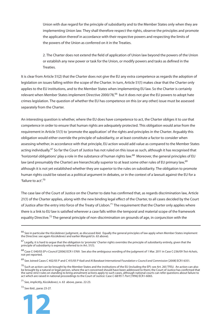Union with due regard for the principle of subsidiarity and to the Member States only when they are implementing Union law. They shall therefore respect the rights, observe the principles and promote the application thereof in accordance with their respective powers and respecting the limits of the powers of the Union as conferred on it in the Treaties.

2. The Charter does not extend the field of application of Union law beyond the powers of the Union or establish any new power or task for the Union, or modify powers and tasks as defined in the Treaties.

It is clear from Article 51(2) that the Charter does not give the EU any extra competence as regards the adoption of legislation on issues falling within the scope of the Charter. In turn, Article 51(1) makes clear that the Charter only applies to the EU institutions, and to the Member States when implementing EU law. So the Charter is certainly relevant when Member States implement Directive 2000/78,<sup>66</sup> but it does not give the EU powers to adopt hate crimes legislation. The question of whether the EU has competence on this (or any other) issue must be assessed separately from the Charter.

An interesting question is whether, where the EU does have competence to act, the Charter obliges it to use that competence in order to ensure that human rights are adequately protected. This obligation would arise from the requirement in Article 51(1) to 'promote the application' of the rights and principles in the Charter. Arguably this obligation would either override the principle of subsidiarity, or at least constitute a factor to consider when assessing whether, in accordance with that principle, EU action would add value as compared to the Member States acting individually.<sup>67</sup> So far the Court of Justice has not ruled on this issue as such, although it has recognised that 'horizontal obligations' play a role in the substance of human rights law.68 Moreover, the general principles of EU law (and presumably the Charter) are hierarchically superior to at least some other rules of EU primary law,<sup>69</sup> although it is not yet established whether they are superior to the rules on subsidiarity. The obligation to promote human rights could be raised as a political argument in debates, or in the context of a lawsuit against the EU for a 'failure to act'.70

The case law of the Court of Justice on the Charter to date has confirmed that, as regards discrimination law, Article 21(1) of the Charter applies, along with the new binding legal effect of the Charter, to all cases decided by the Court of Justice after the entry into force of the Treaty of Lisbon.<sup>71</sup> The requirement that the Charter only applies where there is a link to EU law is satisfied wherever a case falls within the temporal and material scope of the framework equality Directive.<sup>72</sup> The general principle of non-discrimination on grounds of age, in conjunction with the

72 See ibid., paras 23-27.



 $^{66}$  See in particular the *Kücükdeveci* judgment, as discussed ibid. Equally the general principles of law apply when Member States implement the Directive: see again Kücükdeveci and earlier Mangold (n. 63 above).

 $^{67}$  Legally, it is hard to argue that the obligation to 'promote' Charter rights overrides the principle of subsidiarity entirely, given that the principle of subsidiarity is expressly referred to in Art. 51(1).

<sup>&</sup>lt;sup>68</sup> Case C-540/03 EP v Council [2006] ECR I-5769. See also the ambiguous wording of the judgment of 1 Mar. 2011 in Case C-236/09 Test-Achats, not yet reported.

<sup>&</sup>lt;sup>69</sup> See Joined Cases C 402/05 P and C 415/05 P Kadi and Al Barakaat International Foundation v Council and Commission [2008] ECR I 6351.

<sup>&</sup>lt;sup>70</sup> Such an action can be brought by the Member States and the institutions of the EU (including the EP): see Art. 265 TFEU. An action can also be brought by a natural or legal person, where the act concerned should have been addressed to them; the Court of Justice has confirmed that the same strict rules on standing to bring annulment actions apply to such cases, although national courts can refer questions about failure to act which are raised in national proceedings to the Court of Justice: Case C-68/95 T. Port [1996] ECR I-6065.

<sup>71</sup> See, implicitly, Kücükdeveci, n. 63 above, paras. 22-23.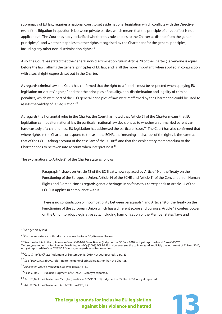supremacy of EU law, requires a national court to set aside national legislation which conflicts with the Directive, even if the litigation in question is between private parties, which means that the principle of direct effect is not applicable.<sup>73</sup> The Court has not yet clarified whether this rule applies to the Charter as distinct from the general principles,<sup>74</sup> and whether it applies to other rights recognised by the Charter and/or the general principles, including any other non-discrimination rights.<sup>75</sup>

Also, the Court has stated that the general non-discrimination rule in Article 20 of the Charter ('[e]veryone is equal before the law') affirms the general principles of EU law, and is 'all the more important' when applied in conjunction with a social right expressly set out in the Charter.

As regards criminal law, the Court has confirmed that the right to a fair trial must be respected when applying EU legislation on victims' rights,<sup>77</sup> and that the principles of equality, non-discrimination and legality of criminal penalties, which were part of the EU's general principles of law, were reaffirmed by the Charter and could be used to assess the validity of EU legislation.<sup>78</sup>

As regards the horizontal rules in the Charter, the Court has noted that Article 51 of the Charter means that EU legislation cannot alter national law (in particular, national law decisions as to whether an unmarried parent can have custody of a child) unless EU legislation has addressed the particular issue.<sup>79</sup> The Court has also confirmed that where rights in the Charter correspond to those in the ECHR, the 'meaning and scope' of the rights is the same as that of the ECHR, taking account of the case law of the ECHR;<sup>80</sup> and that the explanatory memorandum to the Charter needs to be taken into account when interpreting it.<sup>81</sup>

The explanations to Article 21 of the Charter state as follows:

Paragraph 1 draws on Article 13 of the EC Treaty, now replaced by Article 19 of the Treaty on the Functioning of the European Union, Article 14 of the ECHR and Article 11 of the Convention on Human Rights and Biomedicine as regards genetic heritage. In so far as this corresponds to Article 14 of the ECHR, it applies in compliance with it.

There is no contradiction or incompatibility between paragraph 1 and Article 19 of the Treaty on the Functioning of the European Union which has a different scope and purpose: Article 19 confers power on the Union to adopt legislative acts, including harmonisation of the Member States' laws and

<sup>73</sup> See generally ibid.

<sup>74</sup> On the importance of this distinction, see Protocol 30, discussed below.

<sup>&</sup>lt;sup>75</sup> See the doubts in the opinions in Cases C-104/09 *Roca Álvarez* (judgment of 30 Sep. 2010, not yet reported) and Case C-73/07 Tietosuojavaltuutettu v Satakunnan Markkinaporssi Oy [2008] ECR I-9831. However, see the opinion (and implicitly the judgment of 11 Nov. 2010, not yet reported) in Case C-232/09 Danosa, as regards sex discrimination.

<sup>76</sup> Case C-149/10 Chatzi (judgment of September 16, 2010, not yet reported), para. 63.

<sup>&</sup>lt;sup>77</sup> See Pupino, n. 3 above, referring to the general principles, rather than the Charter.

<sup>78</sup> Advocaten voor de Wereld (n. 5 above), paras. 45-47.

<sup>79</sup> Case C-400/10 PPU McB, judgment of 5 Oct. 2010, not yet reported.

<sup>80</sup> Art. 52(3) of the Charter: see McB (ibid) and Case C-279/09 DEB, judgment of 22 Dec. 2010, not yet reported.

<sup>81</sup> Art. 52(7) of the Charter and Art. 6 TEU: see DEB, ibid.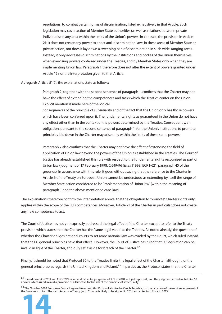regulations, to combat certain forms of discrimination, listed exhaustively in that Article. Such legislation may cover action of Member State authorities (as well as relations between private individuals) in any area within the limits of the Union's powers. In contrast, the provision in Article 21(1) does not create any power to enact anti-discrimination laws in these areas of Member State or private action, nor does it lay down a sweeping ban of discrimination in such wide-ranging areas. Instead, it only addresses discriminations by the institutions and bodies of the Union themselves, when exercising powers conferred under the Treaties, and by Member States only when they are implementing Union law. Paragraph 1 therefore does not alter the extent of powers granted under Article 19 nor the interpretation given to that Article.

As regards Article 51(2), the explanations state as follows:

Paragraph 2, together with the second sentence of paragraph 1, confirms that the Charter may not have the effect of extending the competences and tasks which the Treaties confer on the Union. Explicit mention is made here of the logical

consequences of the principle of subsidiarity and of the fact that the Union only has those powers which have been conferred upon it. The fundamental rights as guaranteed in the Union do not have any effect other than in the context of the powers determined by the Treaties. Consequently, an obligation, pursuant to the second sentence of paragraph 1, for the Union's institutions to promote principles laid down in the Charter may arise only within the limits of these same powers.

Paragraph 2 also confirms that the Charter may not have the effect of extending the field of application of Union law beyond the powers of the Union as established in the Treaties. The Court of Justice has already established this rule with respect to the fundamental rights recognised as part of Union law (judgment of 17 February 1998, C-249/96 Grant [1998] ECR I-621, paragraph 45 of the grounds). In accordance with this rule, it goes without saying that the reference to the Charter in Article 6 of the Treaty on European Union cannot be understood as extending by itself the range of Member State action considered to be 'implementation of Union law' (within the meaning of paragraph 1 and the above-mentioned case-law).

The explanations therefore confirm the interpretation above, that the obligation to 'promote' Charter rights only applies within the scope of the EU's competences. Moreover, Article 21 of the Charter in particular does not create any new competence to act.

The Court of Justice has not yet expressly addressed the legal effect of the Charter, except to refer to the Treaty provision which states that the Charter has the 'same legal value' as the Treaties. As noted already, the question of whether the Charter obliges national courts to set aside national law was evaded by the Court, which ruled instead that the EU general principles have that effect. However, the Court of Justice has ruled that EU legislation can be invalid in light of the Charter, and duly set it aside for breach of the Charter.<sup>82</sup>

Finally, it should be noted that Protocol 30 to the Treaties limits the legal effect of the Charter (although not the general principles) as regards the United Kingdom and Poland.<sup>83</sup> In particular, the Protocol states that the Charter

<sup>84</sup> The October 2009 European Council agreed to extend this Protocol also to the Czech Republic, on the occasion of the next enlargement of



<sup>83</sup> Joined Cases C-92/09 and C-93/09 Volcker and Schecke, judgment of 9 Nov. 2010, not yet reported., and the judgment in Test-Achats (n. 68 above), which ruled invalid a provision of a Directive for breach of the principle of sex equality.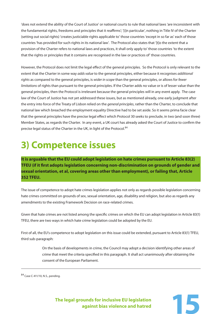'does not extend the ability of the Court of Justice' or national courts to rule that national laws 'are inconsistent with the fundamental rights, freedoms and principles that it reaffirms'; '[i]n particular', nothing in Title IV of the Charter (setting out social rights) 'creates justiciable rights applicable to' those countries 'except in so far as' each of those countries 'has provided for such rights in its national law'. The Protocol also states that '[t]o the extent that a provision of the Charter refers to national laws and practices, it shall only apply to' those countries 'to the extent that the rights or principles that it contains are recognised in the law or practices of' those countries.

However, the Protocol does not limit the legal effect of the general principles. So the Protocol is only relevant to the extent that the Charter in some way *adds value* to the general principles, either because it recognises *additional* rights as compared to the general principles, is wider in scope than the general principles, or allows for fewer limitations of rights than pursuant to the general principles. If the Charter adds no value or is of lesser value than the general principles, then the Protocol is irrelevant because the general principles will in any event apply. The case law of the Court of Justice has not yet addressed these issues, but as mentioned already, one early judgment after the entry into force of the Treaty of Lisbon relied on the *general principles*, rather than the Charter, to conclude that national law which breached the employment equality Directive had to be set aside. So it seems prima facie clear that the general principles have the precise legal effect which Protocol 30 seeks to preclude, in two (and soon three) Member States, as regards the Charter. In any event, a UK court has already asked the Court of Justice to confirm the precise legal status of the Charter in the UK, in light of the Protocol.<sup>84</sup>

## **3) Competence issues**

**It is arguable that the EU could adopt legislation on hate crimes pursuant to Article 83(2) TFEU (if it first adopts legislation concerning non-discrimination on grounds of gender and sexual orientation, et al, covering areas other than employment), or failing that, Article 352 TFEU.**

The issue of competence to adopt hate crimes legislation applies not only as regards possible legislation concerning hate crimes committed on grounds of sex, sexual orientation, age, disability and religion, but also as regards any amendments to the existing Framework Decision on race-related crimes.

Given that hate crimes are not listed among the specific crimes on which the EU can adopt legislation in Article 83(1) TFEU, there are two ways in which hate crime legislation could be adopted by the EU.

First of all, the EU's competence to adopt legislation on this issue could be extended, pursuant to Article 83(1) TFEU, third sub-paragraph:

> On the basis of developments in crime, the Council may adopt a decision identifying other areas of crime that meet the criteria specified in this paragraph. It shall act unanimously after obtaining the consent of the European Parliament.

84 Case C-411/10, N.S., pending.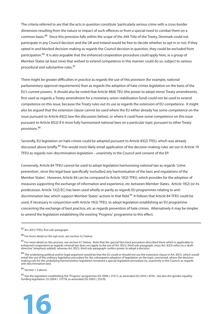The criteria referred to are that the acts in question constitute 'particularly serious crime with a cross-border dimension resulting from the nature or impact of such offences or from a special need to combat them on a common basis.'85 Since this provision falls within the scope of the JHA Title of the Treaty, Denmark could not participate in any Council decision and the UK and Ireland would be free to decide whether to opt in or not; if they opted in and blocked decision-making as regards the Council decision in question, they could be excluded from participation.<sup>86</sup> It is also arguable that the enhanced cooperation procedure could apply here, ie a group of Member States (at least nine) that wished to extend competence in this manner could do so, subject to various procedural and substantive rules.<sup>87</sup>

There might be greater difficulties in practice as regards the use of this provision (for example, national parliamentary approval requirements) than as regards the adoption of hate crimes legislation on the basis of the EU's current powers. It should also be noted that Article 48(6) TEU (the power to adopt minor Treaty amendments, first used as regards a Treaty amendment for a monetary union stabilisation fund) could not be used to extend competence on this issue, because the Treaty rules out its use as regards the extension of EU competence. It might also be argued that the extension clause cannot be used where the EU either already has some competence on the issue pursuant to Article 83(2) (see the discussion below), or where it *could* have some competence on this issue pursuant to Article 83(2) if it more fully harmonised national laws on a particular topic pursuant to other Treaty provisions.<sup>88</sup>

Secondly, EU legislation on hate crimes could be adopted pursuant to Article 83(2) TFEU, which was already discussed above briefly.<sup>89</sup> This would most likely entail application of the decision-making rules set out in Article 19 TFEU as regards non-discrimination legislation – unanimity in the Council and consent of the EP.

Conversely, Article 84 TFEU cannot be used to adopt legislation harmonising national law as regards 'crime prevention', since this legal base specifically 'exclud[es] any harmonisation of the laws and regulations of the Member States'. However, Article 84 can be compared to Article 19(2) TFEU, which provides for the adoption of measures supporting the exchange of information and experience, etc between Member States. Article 19(2) (or its predecessor, Article 13(2) EC) has been used wholly or partly as regards EU programmes relating to antidiscrimination law, which support Member States' actions in that field.<sup>90</sup> It follows that Article 84 TFEU could be used, if necessary in conjunction with Article 19(2) TFEU, to adopt legislation establishing an EU programme concerning the exchange of best practice, etc as regards prevention of hate crimes. Alternatively it may be simpler to amend the legislation establishing the existing 'Progress' programme to this effect.

89 Section 1.3 above.

<sup>&</sup>lt;sup>90</sup> See the legislation establishing the 'Progress' programme (OJ 2006 L 315/1), as amended (OJ 2010 L 87/6). See also the gender equality funding legislation: OJ 2004 L 157/18, as amended (OJ 2005 L 255/9).



<sup>85</sup> Art. 83(1) TFEU, first sub-paragraph.

<sup>86</sup> For more detail on the opt-outs, see section 4.2 below.

<sup>&</sup>lt;sup>87</sup> For more detail on this process, see section 4.1 below. Note that the special fast-track procedure described there which is applicable to enhanced cooperation as regards criminal law does not apply to the use of Art. 83(1), third sub-paragraph, since Art. 83(3) refers to a 'draft directive' (emphasis added), whereas Art. 83(1), third sub-paragraph confers power to adopt a decision.

<sup>88</sup> The underlying political and/or legal argument would be that the EU could or should not use the extension clause in Art. 83(1), which would entail the use of the ordinary legislative procedure for the subsequent adoption of legislation on the topic concerned, where the decisionmaking rule for the underlying harmonisation legislation remained a special legislative procedure (ie, unanimity in the Council, as regards anti-discrimination law).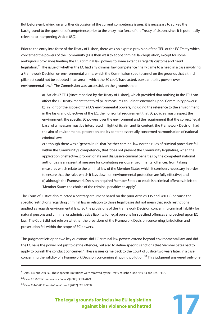But before embarking on a further discussion of the current competence issues, it is necessary to survey the background to the question of competence prior to the entry into force of the Treaty of Lisbon, since it is potentially relevant to interpreting Article 83(2).

Prior to the entry into force of the Treaty of Lisbon, there was no express provision of the TEU or the EC Treaty which concerned the powers of the Community (as is then was) to adopt criminal law legislation, except for some ambiguous provisions limiting the EC's criminal law powers to some extent as regards customs and fraud legislation.<sup>91</sup> The issue of whether the EC had any criminal law competence finally came to a head in a case involving a Framework Decision on environmental crime, which the Commission sued to annul on the grounds that a third pillar act could not be adopted in an area in which the EC could have acted, pursuant to its powers over environmental law.<sup>92</sup> The Commission was successful, on the grounds that:

> a) Article 47 TEU (since repealed by the Treaty of Lisbon), which provided that nothing in the TEU can affect the EC Treaty, meant that third pillar measures could not 'encroach upon' Community powers; b) in light of the scope of the EC's environmental powers, including the reference to the environment in the tasks and objectives of the EC, the horizontal requirement that EC policies must respect the environment, the specific EC powers over the environment and the requirement that the correct 'legal base' of a measure must be interpreted in light of its aim and its content, the Framework Decision had the aim of environmental protection and its content essentially concerned harmonisation of national criminal law;

c) although there was a 'general rule' that 'neither criminal law nor the rules of criminal procedure fall within the Community's competence', that 'does not prevent the Community legislature, when the application of effective, proportionate and dissuasive criminal penalties by the competent national authorities is an essential measure for combating serious environmental offences, from taking measures which relate to the criminal law of the Member States which it considers necessary in order to ensure that the rules which it lays down on environmental protection are fully effective'; and d) although the Framework Decision required Member States to establish criminal offences, it left to 'Member States the choice of the criminal penalties to apply'.

The Court of Justice also rejected a contrary argument based on the prior Articles 135 and 280 EC, because the specific restrictions regarding criminal law in relation to those legal bases did not mean that such restrictions applied as regards environmental law. So the provisions of the Framework Decision concerning criminal liability for natural persons and criminal or administrative liability for legal persons for specified offences encroached upon EC law. The Court did not rule on whether the provisions of the Framework Decision concerning jurisdiction and prosecution fell within the scope of EC powers.

This judgment left open two key questions: did EC criminal law powers extend beyond environmental law, and did the EC have the power not just to define offences, but also to define specific sanctions that Member Sates had to apply to punish the conduct concerned? These issues came back to the Court of Justice two years later, in a case concerning the validity of a Framework Decision concerning shipping pollution.<sup>93</sup> This judgment answered only one

 $91$  Arts. 135 and 280 EC. These specific limitations were removed by the Treaty of Lisbon (see Arts. 33 and 325 TFEU).

<sup>92</sup> Case C-176/03 Commission v Council [2005] ECR I-7879.

<sup>93</sup> Case C-440/05 Commission v Council [2007] ECR I- 9097.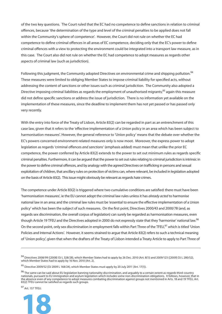of the two key questions. The Court ruled that the EC had no competence to define sanctions in relation to criminal offences, because 'the determination of the type and level of the criminal penalties to be applied does not fall within the Community's sphere of competence'. However, the Court did not rule on whether the EC had competence to define criminal offences in all areas of EC competence, deciding only that the EC's power to define criminal offences with a view to protecting the environment could be integrated into a transport law measure, as in this case. The Court also did not rule on whether the EC had competence to adopt measures as regards other aspects of criminal law (such as jurisdiction).

Following this judgment, the Community adopted Directives on environmental crime and shipping pollution.<sup>94</sup> These measures were limited to obliging Member States to impose criminal liability for specified acts, without addressing the content of sanctions or other issues such as criminal jurisdiction. The Community also adopted a Directive imposing criminal liabilities as regards the employment of unauthorised migrants;<sup>95</sup> again this measure did not define specific sanctions or address the issue of jurisdiction. There is no information yet available on the implementation of these measures, since the deadline to implement them has not yet passed or has passed only very recently.

With the entry into force of the Treaty of Lisbon, Article 83(2) can be regarded in part as an entrenchment of this case law, given that it refers to the 'effective implementation of a Union policy in an area which has been subject to harmonisation measures'. However, the general reference to 'Union policy' means that the debate over whether the EC's powers concerned environment-related measures only is now moot. Moreover, the express power to adopt legislation as regards 'criminal offences and sanctions' (emphasis added) must mean that unlike the prior EC competence, the power conferred by Article 83(2) extends to the power to set out minimum rules as regards specific criminal penalties. Furthermore, it can be argued that the power to set out rules relating to criminal jurisdiction is intrinsic in the power to define criminal offences, and by analogy with the agreed Directives on trafficking in persons and sexual exploitation of children, that ancillary rules on protection of victims can, where relevant, be included in legislation adopted on the basis of Article 83(2). This issue might obviously be relevant as regards hate crimes.

The competence under Article 83(2) is triggered where two cumulative conditions are satisfied: there must have been 'harmonisation measures', ie the EU cannot adopt the criminal law rules unless it has already acted to harmonise national law in an area; and the criminal law rules must be 'essential to ensure the effective implementation of a Union policy' which has been the subject of such measures. On the first point, Directives 2000/43 and 2000/78 (and, as regards sex discrimination, the overall corpus of legislation) can surely be regarded as harmonisation measures, even though Article 19 TFEU and the Directives adopted in 2000 do not expressly state that they 'harmonise' national law.<sup>96</sup> On the second point, only sex discrimination in employment falls within Part Three of the TFEU.<sup>97</sup> which is titled 'Union Policies and Internal Actions'. However, it seems strained to argue that Article 83(2) refers to such a technical meaning of 'Union policy', given that when the drafters of the Treaty of Lisbon intended a Treaty Article to apply to Part Three of

97 Art. 157 TFEU.



<sup>94</sup> Directives 2008/99 ([2008] OJ L 328/28), which Member States had to apply by 26 Dec. 2010 (Art. 8(1)) and 2009/123 ([2009] OJ L 280/52), which Member States had to apply by 16 Nov. 2010 (Art. 2).

<sup>95</sup> Directive 2009/52 (OJ 2009 L 168/24), which Member States must apply by 20 July 2011 (Art. 17(1)).

<sup>&</sup>lt;sup>96</sup> The same can be said about EU legislation banning nationality discrimination, and arguably to a certain extent as regards third-country nationals, pursuant to EU immigration and asylum legislation which includes some non-discrimination obligations. It follows, however, that in the absence even of any competence to adopt measures combating discrimination against groups not mentioned in Arts. 18 and 19 TFEU, Art. 83(2) TFEU cannot be satisfied as regards such groups.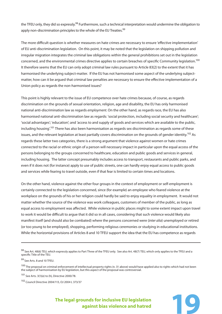the TFEU only, they did so expressly.<sup>98</sup> Furthermore, such a technical interpretation would undermine the obligation to apply non-discrimination principles to the whole of the EU Treaties.<sup>99</sup>

The more difficult question is whether measures on hate crimes are necessary to ensure 'effective implementation' of EU anti-discrimination legislation. On this point, it may be noted that the legislation on shipping pollution and irregular migration integrates the criminal law obligations within the general prohibitions set out in the legislation concerned, and the environmental crimes directive applies to certain breaches of specific Community legislation.<sup>100</sup> It therefore seems that the EU can only adopt criminal law rules pursuant to Article 83(2) to the extent that it has harmonised the underlying subject-matter. If the EU has not harmonised some aspect of the underlying subjectmatter, how can it be argued that criminal law penalties are necessary to ensure the effective implementation of a Union policy as regards the non-harmonised issues?

This point is highly relevant to the issue of EU competence over hate crimes because, of course, as regards discrimination on the grounds of sexual orientation, religion, age and disability, the EU has only harmonised national anti-discrimination law as regards employment. On the other hand, as regards race, the EU has also harmonised national anti-discrimination law as regards: 'social protection, including social security and healthcare'; 'social advantages'; 'education'; and 'access to and supply of goods and services which are available to the public, including housing'.101 There has also been harmonisation as regards sex discrimination as regards some of these issues, and the relevant legislation at least partially covers discrimination on the grounds of gender identity.<sup>102</sup> As regards these latter two categories, there is a strong argument that violence against women or hate crimes connected to the racial or ethnic origin of a person will necessary impact in particular upon the equal access of the persons belonging to the groups concerned to healthcare, education and public goods and services in general, including housing. The latter concept presumably includes access to transport, restaurants and public parks, and even if it does not (for instance) apply to use of public streets, one can hardly enjoy equal access to public goods and services while fearing to travel outside, even if that fear is limited to certain times and locations.

On the other hand, violence against the other four groups in the context of employment or self-employment is certainly connected to the legislation concerned, since (for example) an employee who feared violence at the workplace on the grounds of his or her religion could hardly be said to enjoy equality in employment. It would not matter whether the source of the violence was work colleagues, customers of member of the public, as long as equal access to employment was affected. While violence in public places might to some extent impact upon travel to work it would be difficult to argue that it did so in all cases, considering that such violence would likely also manifest itself (and should also be combated) where the persons concerned were (inter alia) unemployed or retired (or too young to be employed), shopping, performing religious ceremonies or studying in educational institutions. While the horizontal provisions of Articles 8 and 10 TFEU support the idea that the EU has competence as regards

102 Council Directive 2004/113, OJ 2004 L 373/37



<sup>&</sup>lt;sup>98</sup> See Art. 48(6) TEU, which expressly applies to Part Three of the TFEU only. See also Art. 48(7) TEU, which only applies to the TFEU and a specific Title of the TEU.

<sup>99</sup> See Arts. 8 and 10 TFEU.

<sup>&</sup>lt;sup>100</sup> The proposal on criminal enforcement of intellectual property rights (n. 31 above) would have applied also to rights which had not been the subject of harmonisation by EU legislation, but this aspect of the proposal was controversial.

<sup>101</sup> See Arts. 3(1)(e) to (h), Directive 2000/78.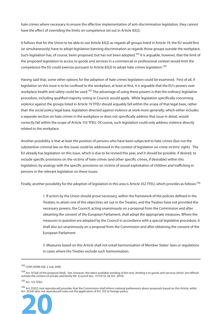hate crimes where necessary to ensure the effective implementation of anti-discrimination legislation, they cannot have the effect of overriding the limits on competence set out in Article 83(2).

It follows that for the Union to be able to use Article 83(2) as regards all groups listed in Article 19, the EU would first (or simultaneously) have to adopt legislation banning discrimination as regards those groups outside the workplace. Such legislation has, of course, been proposed, but has not been adopted.<sup>103</sup> It is arguable, however, that the limit of the proposed legislation to access to goods and services in a commercial or professional context would limit the competence the EU could exercise pursuant to Article 83(2) to adopt hate crimes legislation.<sup>104</sup>

Having said that, some other options for the adoption of hate crimes legislation could be examined. First of all, if legislation on this issue is to be confined to the workplace, at least at first, it is arguable that the EU's powers over workplace health and safety could be used.<sup>105</sup> The advantage of using these powers is that the ordinary legislative procedure, including qualified majority voting in Council, would apply. While legislation specifically concerning violence against the groups listed in Article 19 TFEU should arguably fall within the scope of that legal base, rather than the social policy legal base, legislation directed against violence at work more generally, which either includes a separate section on hate crimes in the workplace or does not specifically address that issue in detail, would correctly fall within the scope of Article 153 TFEU. Of course, such legislation could only address violence directly related to the workplace.

Another possibility is that at least the position of persons who have been subjected to hate crimes (but not the substantive criminal law on this issue) could be addressed in the context of legislation on crime victims' rights. The EU already has legislation on this issue, which is due to be revised this year, and it should be possible, if desired, to include specific provisions on the victims of hate crimes (and other specific crimes, if desirable) within this legislation, by analogy with the specific provisions on victims of sexual exploitation of children and trafficking in persons in the relevant legislation on these issues.

Finally, another possibility for the adoption of legislation in this area is Article 352 TFEU, which provides as follows:<sup>106</sup>

1. If action by the Union should prove necessary, within the framework of the policies defined in the Treaties, to attain one of the objectives set out in the Treaties, and the Treaties have not provided the necessary powers, the Council, acting unanimously on a proposal from the Commission and after obtaining the consent of the European Parliament, shall adopt the appropriate measures. Where the measures in question are adopted by the Council in accordance with a special legislative procedure, it shall also act unanimously on a proposal from the Commission and after obtaining the consent of the European Parliament.

3. Measures based on this Article shall not entail harmonisation of Member States' laws or regulations in cases where the Treaties exclude such harmonisation.

105 Art. 153 TFEU.

106 Art. 352(2) (not reproduced) provides that the Commission shall inform national parliaments about proposals based on this Article, while Art. 352(4) (also not reproduced) rules out the application of Art. 352 to foreign policy.



<sup>103</sup> COM (2008) 426, 2 July 2008.

<sup>&</sup>lt;sup>104</sup> Art. 3(1)(d) of the proposal (ibid). See, however, the latest available wording of this text, limiting it to goods and services which 'are offered outside the context of private and family life' (Council doc. 15174/10, 28 Oct. 2010).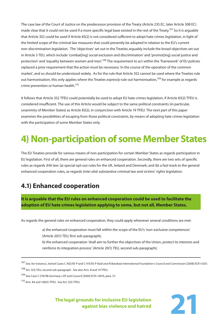The case law of the Court of Justice on the predecessor provision of the Treaty (Article 235 EC, later Article 308 EC) made clear that it could not be used if a more specific legal base existed in the rest of the Treaty.<sup>107</sup> So it is arguable that Article 352 could be used if Article 83(2) is not considered sufficient to adopt hate crimes legislation, in light of the limited scope of the criminal law measures that could presently be adopted in relation to the EU's current non-discrimination legislation. The 'objectives' set out in the Treaties arguably include the broad objectives set out in Article 3 TEU, which include 'combat[ing] social exclusion and discrimination' and 'promot[ing] social justice and protection' and 'equality between women and men'.108 The requirement to act within the 'framework' of EU policies replaced a prior requirement that the action must be necessary 'in the course of the operation of the common market', and so should be understood widely. As for the rule that Article 352 cannot be used where the Treaties rule out harmonisation, this only applies where the Treaties expressly rule out harmonisation,<sup>109</sup> for example as regards crime prevention or human health.<sup>110</sup>

It follows that Article 352 TFEU could potentially be used to adopt EU hate crimes legislation, if Article 83(2) TFEU is considered insufficient. The use of this Article would be subject to the same political constraints (in particular, unanimity of Member States) as Article 83(2), in conjunction with Article 19 TFEU. The next part of this paper examines the possibilities of escaping from those political constraints, by means of adopting hate crimes legislation with the participation of some Member States only.

## **4) Non-participation of some Member States**

The EU Treaties provide for various means of non-participation for certain Member States as regards participation in EU legislation. First of all, there are general rules on enhanced cooperation. Secondly, there are two sets of specific rules as regards JHA law: (a) special opt-out rules for the UK, Ireland and Denmark; and (b) a fast-track to the general enhanced cooperation rules, as regards (inter alia) substantive criminal law and victims' rights legislation.

### **4.1) Enhanced cooperation**

**It is arguable that the EU rules on enhanced cooperation could be used to facilitate the adoption of EU hate crimes legislation applying to some, but not all, Member States.**

As regards the general rules on enhanced cooperation, they could apply whenever several conditions are met:

a) the enhanced cooperation must fall within the scope of the EU's 'non-exclusive competences' (Article 20(1) TEU, first sub-paragraph); b) the enhanced cooperation 'shall aim to further the objectives of the Union, protect its interests and reinforce its integration process' (Article 20(1) TEU, second sub-paragraph);

107 See, for instance, Joined Cases C 402/05 P and C 415/05 P Kadi and Al Barakaat International Foundation v Council and Commission [2008] ECR I 6351.

109 See Case C-376/98 Germany v EP and Council [2000] ECR I-8419, para. 57.

110 Arts. 84 and 168(5) TFEU. See Art. 2(5) TFEU.

<sup>108</sup> Art. 3(3) TEU, second sub-paragraph. See also Arts. 8 and 10 TFEU.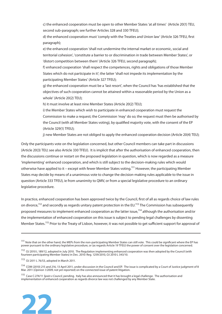c) the enhanced cooperation must be open to other Member States 'at all times' (Article 20(1) TEU, second sub-paragraph; see further Articles 328 and 330 TFEU);

d) the enhanced cooperation must 'comply with the Treaties and Union law' (Article 326 TFEU, first paragraph);

e) the enhanced cooperation 'shall not undermine the internal market or economic, social and territorial cohesion', 'constitute a barrier to or discrimination in trade between Member States', or 'distort competition between them' (Article 326 TFEU, second paragraph);

f) enhanced cooperation 'shall respect the competences, rights and obligations of those Member States which do not participate in it'; the latter 'shall not impede its implementation by the participating Member States' (Article 327 TFEU);

g) the enhanced cooperation must be a 'last resort', when the Council has 'has established that the objectives of such cooperation cannot be attained within a reasonable period by the Union as a whole' (Article 20(2) TEU);

h) it must involve at least nine Member States (Article 20(2) TEU);

i) the Member States which wish to participate in enhanced cooperation must request the Commission to make a request; the Commission 'may' do so; the request must then be authorised by the Council (with all Member States voting), by qualified majority vote, with the consent of the EP (Article 329(1) TFEU);

j) new Member States are not obliged to apply the enhanced cooperation decision (Article 20(4) TEU);

Only the participants vote on the legislation concerned, but other Council members can take part in discussions (Article 20(3) TEU; see also Article 330 TFEU). It is implicit that after the authorisation of enhanced cooperation, then the discussions continue or restart on the proposed legislation in question, which is now regarded as a measure 'implementing' enhanced cooperation, and which is still subject to the decision-making rules which would otherwise have applied to it – except with fewer Member States voting.111 However, the participating Member States may decide by means of a unanimous vote to change the decision-making rules applicable to the issue in question (Article 333 TFEU), ie from unanimity to QMV, or from a special legislative procedure to an ordinary legislative procedure.

In practice, enhanced cooperation has been approved twice by the Council, first of all as regards choice of law rules on divorce,<sup>112</sup> and secondly as regards unitary patent protection in the EU.<sup>113</sup> The Commission has subsequently proposed measures to implement enhanced cooperation as the latter issue,<sup>114</sup> although the authorisation and/or the implementation of enhanced cooperation on this issue is subject to pending legal challenges by dissenting Member States.<sup>115</sup> Prior to the Treaty of Lisbon, however, it was not possible to get sufficient support for approval of

113 OJ 2011 L 76/53, adopted in March 2011.

<sup>&</sup>lt;sup>115</sup> Case C-274/11 Spain v Council, pending. Italy has also announced that it has brought a legal challenge. The authorisation and implementation of enhanced cooperation as regards divorce law was not challenged by any Member State.



<sup>&</sup>lt;sup>111</sup> Note that on the other hand, the MEPs from the non-participating Member States can still vote. This could be significant where the EP has power pursuant to the ordinary legislative procedure, or (as regards Article 19 TFEU) the power of consent over the legislation concerned.

<sup>112</sup> OJ 2010 L 189/12, adopted in July 2010. The Regulation implementing enhanced cooperation was then adopted by the Council (with fourteen participating Member States) in Dec. 2010: Reg. 1259/2010, OJ 2010 L 343/10.

<sup>&</sup>lt;sup>114</sup> COM (2010) 215 and 216, 13 April 2011, under discussion in the Council and EP. The issue is complicated by a Court of Justice judgment of 8 Mar. 2011 (Opinion 1/2009, not yet reported) on the connected issue of patent litigation.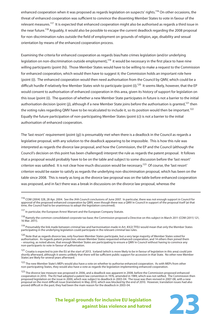enhanced cooperation when it was proposed as regards legislation on suspects' rights.<sup>116</sup> On other occasions, the threat of enhanced cooperation was sufficient to convince the dissenting Member States to vote in favour of the relevant measures.117 It is expected that enhanced cooperation might also be authorised as regards a third issue in the near future.<sup>118</sup> Arguably, it would also be possible to escape the current deadlock regarding the 2008 proposal for non-discrimination rules outside the field of employment on grounds of religion, age, disability and sexual orientation by means of the enhanced cooperation process.

Examining the criteria for enhanced cooperation as regards bias/hate crimes legislation (and/or underlying legislation on non-discrimination outside employment),<sup>119</sup> it would be necessary in the first place to have nine willing participants (point (h)). Those Member States would have to be willing to make a request to the Commission for enhanced cooperation, which would then have to suggest it; the Commission holds an important role here (point (i)). The enhanced cooperation would then need authorisation from the Council by QMV, which could be a difficult hurdle if relatively few Member States wish to participate (point (i)).<sup>120</sup> It seems likely, however, that the EP would consent to authorisation of enhanced cooperation in this area, given its history of support for legislation on this issue (point (i)). The question of whether a new Member State participates in future is not a barrier to the initial authorisation decision (point (j)), although if a new Member State joins before the authorisation is granted,<sup>121</sup> then the voting rules regarding QMV have to be recalculated to include it, so its position would then be important.<sup>122</sup> Equally the future participation of non-participating Member States (point (c)) is not a barrier to the initial authorisation of enhanced cooperation.

The 'last resort' requirement (point (g)) is presumably met when there is a deadlock in the Council as regards a legislative proposal, with any solution to the deadlock appearing to be impossible. This is how this rule was interpreted as regards the divorce law proposal, and how the Commission, the EP and the Council (although the Council's decision on this point has been challenged) interpret the rule as regards the patent proposal. It follows that a proposal would probably have to be on the table and subject to some discussion before the 'last resort' criterion was satisfied. It is not clear how much discussion would be necessary.<sup>123</sup> Of course, the 'last resort' criterion would be easier to satisfy as regards the underlying non-discrimination proposal, which has been on the table since 2008. This is nearly as long as the divorce law proposal was on the table before enhanced cooperation was proposed, and in fact there was a break in discussions on the divorce law proposal, whereas the

<sup>&</sup>lt;sup>116</sup> COM (2004) 328, 28 Apr. 2004. See the JHA Council conclusions of June 2007. In particular, there was not enough support in Council for approval of the proposed enhanced cooperation by QMV, even though there was a QMV in Council in support of the proposal itself (at that time, the Council had to be unanimous to adopt the legislation concerned).

 $117$  In particular, the European Arrest Warrant and the European Company Statute.

<sup>&</sup>lt;sup>118</sup> Namely the common consolidated corporate tax base; the Commission proposed a Directive on this subject in March 2011 (COM (2011) 121, 16 Mar. 2011).

<sup>&</sup>lt;sup>119</sup> Presumably the link made between criminal law and harmonisation made in Art. 83(2) TFEU would mean that only the Member States participating in the underlying legislation could participate in the relevant criminal law rules.

<sup>&</sup>lt;sup>120</sup> Note that as regards divorce law, only fourteen Member States participate, but a very large majority of Member States voted for authorisation. As regards patent protection, eleven Member States requested enhanced cooperation, and 14 others then joined them – ensuring, as noted above, that enough Member States are participating to ensure a QMV in Council without having to convince any non-participants to vote in favour of authorisation.

<sup>&</sup>lt;sup>121</sup> Croatia is expected to join the EU at the start of 2013. Iceland (which is more likely to be in favour of legislation in this area) could join shortly afterward, although it seems unlikely that there will be sufficient public support for accession in that State. No other new Member States are likely for several years afterward.

<sup>&</sup>lt;sup>122</sup> The new Member State's MEPs would also have a vote on whether to authorise enhanced cooperation. As with MEPs from other non-participating States, they would also have a vote as regards the legislation implementing enhanced cooperation.

<sup>&</sup>lt;sup>123</sup> The divorce law measure was proposed in 2006, and a deadlock was apparent in 2008, before the Commission proposed enhanced cooperation in 2010. The EU had adopted a patent law convention in 1976, amended in 1989, which was not ratified. The Commission then proposed legislation on the issue in 2000, which was subject to deadlock in 2003-04. The issue was then revived in 2007-08, with a new proposal on the most difficult issue (translation) in May 2010, which was blocked by the end of 2010. However, translation issues had also proved difficult in the past; they had been the main reason for the deadlock in 2003-04.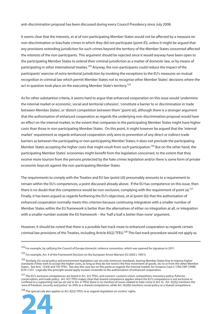anti-discrimination proposal has been discussed during every Council Presidency since July 2008.

It seems clear that the interests, et al of non-participating Member States would not be affected by a measure on non-discrimination or bias/hate crimes in which they did not participate (point (f)), unless it might be argued that any provisions extending jurisdiction for such crimes beyond the territory of the Member States concerned affected the interests of the non-participants. This argument should be rejected since it would anyway have been open to the participating Member States to extend their criminal jurisdiction as a matter of domestic law, or by means of participating in other international treaties.<sup>124</sup> Anyway, the non-participants could reduce the impact of the participants' exercise of extra-territorial jurisdiction by invoking the exceptions to the EU's measures on mutual recognition in criminal law which permit Member States not to recognise other Member States' decisions where the act in question took place on the executing Member State's territory.<sup>125</sup>

As for other substantive criteria, it seems hard to argue that enhanced cooperation on this issue would 'undermine the internal market or economic, social and territorial cohesion', 'constitute a barrier to or discrimination in trade between Member States', or 'distort competition between them' (point (e)), although there is a stronger argument that the authorisation of enhanced cooperation as regards the underlying non-discrimination proposal would have an effect on the internal market, to the extent that companies in the participating Member States might have higher costs than those in non-participating Member States. On this point, it might however be argued that the 'internal market' requirement as regards enhanced cooperation only aims to prevention of any direct or indirect trade barriers as between the participating or non-participating Member States; it does not preclude the participating Member States accepting the higher costs that might result from such participation.<sup>126</sup> But on the other hand, the participating Member States' economies might benefit from the legislation concerned, to the extent that they receive more tourism from the persons protected by the hate crimes legislation and/or there is some form of private economic boycott against the non-participating Member States.

The requirements to comply with the Treaties and EU law (point (d)) presumably amounts to a requirement to remain within the EU's competences, a point discussed already above. If the EU has competence on this issue, then there is no doubt that this competence would be non-exclusive, complying with the requirement of point (a).<sup>127</sup> Finally, it has been argued as regards furthering the EU's objectives, et al (point (b)) that the authorisation of enhanced cooperation normally meets this criterion because continuing integration with a smaller number of Member States within the EU framework is better than the alternatives of either no integration at all, or integration with a smaller number outside the EU framework – the 'half a loaf is better than none' argument.

However, it should be noted that there is a possible fast-track route to enhanced cooperation as regards certain criminal law provisions of the Treaties, including Article 83(2) TFEU.<sup>128</sup> This fast-track procedure would not apply as



<sup>124</sup> For example, by ratifying the Council of Europe domestic violence convention, which was opened for signature in 2011.

<sup>125</sup> For example, Art. 4 of the Framework Decision on the European Arrest Warrant (OJ 2002 L 190/1).

<sup>126</sup> Similarly, EU social policy and environment legislation can set only minimum standards, leaving Member States free to impose higher standards if they wish to accept the higher costs, as long as they do not restrict the free movement of goods, etc to or from the other Member States. See Arts. 153(4) and 193 TFEU. See also the case law on this point as regards the internal market, for instance Case C-1/96 CWF [1998] ECR I-1251. Logically this principle would apply mutatis mutandis to the authorisation of enhanced cooperation.

<sup>&</sup>lt;sup>127</sup> The EU's exclusive competences are listed in Art. 3(1) TFEU, and concern: customs union; competition; monetary policy; fisheries conservation; and trade policy. Art. 4(1) TFEU makes clear that shared competence applies where the EU's competence is not exclusive or confined to a supporting rule (as set out in Art. 6 TFEU; there is no mention of issues related to hate crime in Art. 6). Art. 4(2)(j) mentions the 'area of freedom, security and justice' (ie JHA) as a shared competence, while Art. 4(2)(b) mentions social policy as a shared competence.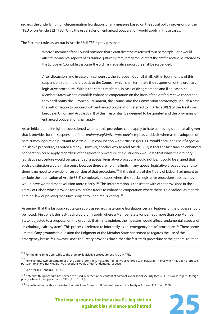regards the underlying non-discrimination legislation, or any measure based on the social policy provisions of the TFEU or on Article 352 TFEU. Only the usual rules on enhanced cooperation would apply in those cases.

The fast-track rule, as set out in Article 83(3) TFEU, provides that:

Where a member of the Council considers that a draft directive as referred to in paragraph 1 or 2 would affect fundamental aspects of its criminal justice system, it may request that the draft directive be referred to the European Council. In that case, the ordinary legislative procedure shall be suspended.

After discussion, and in case of a consensus, the European Council shall, within four months of this suspension, refer the draft back to the Council, which shall terminate the suspension of the ordinary legislative procedure. Within the same timeframe, in case of disagreement, and if at least nine Member States wish to establish enhanced cooperation on the basis of the draft directive concerned, they shall notify the European Parliament, the Council and the Commission accordingly. In such a case, the authorisation to proceed with enhanced cooperation referred to in Article 20(2) of the Treaty on European Union and Article 329(1) of this Treaty shall be deemed to be granted and the provisions on enhanced cooperation shall apply.

As an initial point, it might be questioned whether this procedure could apply to hate crimes legislation at all, given that it provides for the suspension of the 'ordinary legislative procedure' (emphasis added), whereas the adoption of hate crimes legislation pursuant to Article 19 in conjunction with Article 83(2) TFEU would entail the use of a special legislative procedure, as noted already. However, another way to read Article 83(3) is that the fast-track to enhanced cooperation could apply regardless of the relevant procedure; the distinction would be that while the ordinary legislative procedure would be suspended, a special legislative procedure would not be. It could be argued that such a distinction would make sense because there are no time limits in any special legislative procedures, and so there is no need to provide for suspension of that procedure.<sup>129</sup> If the drafters of the Treaty of Lisbon had meant to exclude the application of Article 83(3) completely to cases where the special legislative procedure applies, they would have worded that exclusion more clearly.<sup>130</sup> This interpretation is consistent with other provisions in the Treaty of Lisbon which provide for similar fast-tracks to enhanced cooperation where there is a deadlock as regards criminal law or policing measures subject to unanimous voting.<sup>131</sup>

Assuming that the fast-track route can apply as regards hate crime legislation, certain features of the process should be noted. First of all, the fast-track would only apply where a Member State (or perhaps more than one Member State) objected to a proposal on the grounds that, in its opinion, the measure 'would affect fundamental aspects of its criminal justice system'. This process is referred to informally as an 'emergency brake' procedure.<sup>132</sup> There seems limited if any grounds to question the judgment of the Member State concerned as regards the use of the emergency brake.<sup>133</sup> However, since the Treaty provides that either the fast-track procedure or the general route to

<sup>133</sup> For a discussion of this issue in further detail, see S. Peers, 'EU Criminal Law and the Treaty of Lisbon', 33 ELRev. (2008).



<sup>&</sup>lt;sup>129</sup> For the time limits applicable to the ordinary legislative procedure, see Art. 294 TFEU.

<sup>&</sup>lt;sup>130</sup> For example, '[w]here a member of the Council considers that a draft directive as referred to in paragraph 1 or 2 which has been proposed pursuant to an ordinary legislative procedure would aff ect fundamental aspects…'.

<sup>131</sup> See Arts. 86(1) and 87(3) TFEU.

<sup>&</sup>lt;sup>132</sup> Note that this procedure has never been used, whether in the context of criminal law or social security (Art. 48 TFEU), or as regards foreign policy, where it has applied since 1999 (Art. 31 TEU).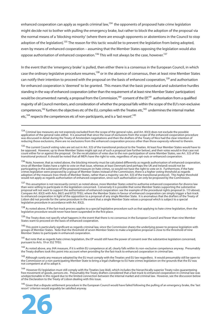enhanced cooperation can apply as regards criminal law, $134$  the opponents of proposed hate crime legislation might decide not to bother with pulling the emergency brake, but rather to block the adoption of the proposal via the normal means of a 'blocking minority' (where there are enough opponents or abstentions in the Council to stop adoption of the legislation).<sup>135</sup> The reason for this tactic would be to prevent the legislation from being adopted, even by means of enhanced cooperation – assuming that the Member States opposing the legislation would also oppose authorisation of enhanced cooperation.<sup>136</sup> This will not always be the case, however.<sup>137</sup>

In the event that the 'emergency brake' is pulled, then either there is a consensus in the European Council, in which case the ordinary legislative procedure resumes,<sup>138</sup> or in the absence of consensus, then at least nine Member States can notify their intention to proceed with the proposal on the basis of enhanced cooperation,<sup>139</sup> and authorisation for enhanced cooperation is 'deemed' to be granted. This means that the basic procedural and substantive hurdles standing in the way of enhanced cooperation (other than the requirement of at least nine Member States' participation) would be circumvented: namely, a proposal from the Commission, $140$  consent of the EP, $141$  authorisation from a qualified majority of all Council members, and consideration of whether the proposal falls within the scope of the EU's non-exclusive competences,<sup>142</sup> furthers the objectives etc of the EU, complies with the Treaties etc,<sup>143</sup> undermines the internal market etc,<sup>144</sup> respects the competences etc of non-participants, and is a 'last resort'.<sup>145</sup>

136 Note. however, that as noted above, the blocking minority must be calculated differently as regards authorisation of enhanced cooperation, since all Member States have a right to vote on that issue, whereas at least Denmark (and perhaps the UK and Ireland) would not be participating in the substance of the proposed measure on hate crimes, so would not have the right to vote on it. Furthermore, if the hate crimes legislation were proposed by a group of Member States instead of the Commission, there is a higher voting threshold as regards adoption of the measure (two-thirds of Member States, rather than a majority: see Art. 3(3) of the transitional protocol). This higher threshold would not apply as regards authorisation of enhanced cooperation, since such authorisation can only be proposed by the Commission.

<sup>137</sup> This assumption is not necessarily correct; as noted above, more Member States voted to authorise enhanced cooperation for divorce law than were willing to participate in the legislation concerned. Conversely it is possible that some Member States supporting the substantive proposal will not want to support the authorisation of enhanced cooperation: see the example of the procedural rights proposal (n. 113 above). Compare Art. 83(3) with Arts. 86(1) and 87(3) TFEU, where the Member States in favour of enhanced cooperation can simply trigger a fast-track to enhanced cooperation in light of the opposition to a proposal of any single Member State. It is anomalous that the drafters of the Treaty of Lisbon did not provide for the same procedure in the event that a single Member State vetoes a proposal which is subject to a special legislative procedure in accordance with Art. 83(2).

<sup>138</sup> As noted above, if the fast-track process applies to a special legislative procedure such as that applying to hate crime legislation, then the legislative procedure would never have been suspended in the first place.

<sup>139</sup> The Treaty does not specify what happens in the event that there is no consensus in the European Council and fewer than nine Member States want to proceed on the basis of enhanced cooperation.

 $140$  This point is particularly significant as regards criminal law, since the Commission shares the underlying power to propose legislation with groups of Member States. Note that the threshold of seven Member States to make a legislative proposal is close to the threshold of nine Member States to participate in enhanced cooperation.

<sup>141</sup> But note that as regards hate crimes legislation, the EP would still have the power of consent over the substantive legislation concerned, pursuant to Arts. 19 or 352 TFEU.

<sup>142</sup> As noted above, any JHA measure, if it is within EU competence at all, clearly falls within its non-exclusive competence anyway. Presumably the Treaty drafters took this point into account when providing for the fast-track to enhanced cooperation in criminal law.

<sup>143</sup> Although surely any measure adopted by the EU must comply with the Treaties and EU law regardless. It would presumably still be open to the Commission or a non-participating Member State to bring a legal challenge to EU hate crimes legislation on the grounds that the EU was not competent at all to adopt it.

<sup>144</sup> However EU legislation must still comply with the Treaties (see ibid), which includes the hierarchically superior Treaty rules guaranteeing free movement of goods, persons etc. Presumably the Treaty drafters considered that a fast-track to enhanced cooperation in criminal law was unobjectionable in this regard due to the limited connection between the internal market and criminal law. However, see the discussion below of the Declaration to the Treaty of Lisbon dealing with this issue.

<sup>145</sup> Given that a dispute settlement procedure in the European Council would have failed following the pulling of an emergency brake, the 'last resort' criterion would arguably be satisfied anyway.



<sup>&</sup>lt;sup>134</sup> Criminal law measures are not expressly excluded from the scope of the general rules, and Art. 83(3) does not exclude the possible application of the general rules either. It is assumed that since the issue of exclusions from the scope of the enhanced cooperation procedure was discussed in detail during the Treaty of Amsterdam negotiations and then the drafters of the Treaty of Nice had the clear intention of reducing those exclusions, there are no exclusions from the enhanced cooperation process other than those expressly referred to therein.

<sup>&</sup>lt;sup>135</sup> The current Council voting rules are set out in Art. 3(3) of the transitional protocol to the Treaties. At least four Member States would have to be opposed. However, up to three Member States might opt out of such a proposal (see further below), and their votes would in that case not count either for or against the proposal. On the recalculation of votes due to the non-participation of some Member States, see Art. 3(3) of the transitional protocol. It should be noted that all MEPs have the right to vote, regardless of any opt-outs or enhanced cooperation.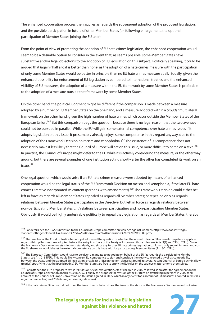The enhanced cooperation process then applies as regards the subsequent adoption of the proposed legislation, and the possible participation in future of other Member States (or, following enlargement, the optional participation of Member States joining the EU later).

From the point of view of promoting the adoption of EU hate crimes legislation, the enhanced cooperation would seem to be a desirable option to consider in the event that, as seems possible, some Member States have substantive and/or legal objections to the adoption of EU legislation on this subject. Politically speaking, it could be argued that (again) 'half a loaf is better than none' as the adoption of a hate crimes measure with the participation of only some Member States would be better in principle than no EU hate crimes measure at all. Equally, given the enhanced possibility for enforcement of EU legislation as compared to international treaties and the enhanced visibility of EU measures, the adoption of a measure within the EU framework by some Member States is preferable to the adoption of a measure outside that framework by some Member States.

On the other hand, the political judgment might be different if the comparison is made between a measure adopted by a number of EU Member States on the one hand, and a measure adopted within a broader multilateral framework on the other hand, given the high number of hate crimes which occur outside the Member States of the European Union.146 But this comparison begs the question, because there is no legal reason that the two avenues could not be pursued in parallel. While the EU will gain some external competence over hate crimes issues if it adopts legislation on this issue, it presumably already enjoys some competence in this regard anyway, due to the adoption of the Framework Decision on racism and xenophobia.1<sup>47</sup> The existence of EU competence does not necessarily make it less likely that the Council of Europe will act on this issue, or more difficult to agree on a text.<sup>148</sup> In practice, the Council of Europe might defer to the EU while it is actively considering the measure, or the other way around, but there are several examples of one institution acting shortly after the other has completed its work on an issue.<sup>149</sup>

One legal question which would arise if an EU hate crimes measure were adopted by means of enhanced cooperation would be the legal status of the EU Framework Decision on racism and xenophobia, if the later EU hate crimes Directive incorporated its content (perhaps with amendments).150 The Framework Decision could either be: left in force as regards all Member States; repealed as regards all Member States; or repealed only as regards relations between Member States participating in the Directive, but left in force as regards relations between non-participating Member States and relations between participating and non-participating Member States. Obviously, it would be highly undesirable politically to repeal that legislation as regards all Member States, thereby

<sup>146</sup> For details, see the ILGA submission to the Council of Europe committee on violence against women:<http://www.coe.int/t/dghl/ standardsetting/violence/ILGA-Europe%20VAW%20Convention%20submission%208%2009%2009.pdf>.

<sup>&</sup>lt;sup>147</sup> The case law of the Court of Justice has not yet addressed the question of whether the normal rules on EU external competence apply as regards third pillar measures adopted before the entry into force of the Treaty of Lisbon (on those rules, see Arts. 3(2) and 216(1) TFEU). Since the Framework Decision only sets minimum standards, and since any further EU hate crimes legislation could also only set minimum standards, the EU shares (or would share) the external competence on this issue with its (participating) Member States (Art. 3(2) TFEU).

<sup>&</sup>lt;sup>148</sup> The European Commission would have to be given a mandate to negotiate on behalf of the EU (as regards the participating Member States): see Art. 218 TFEU. This would likely concern EU competence to sign and conclude the treaty concerned, as well as compatibility between the treaty and the adopted EU legislation, or at least a 'disconnection' clause (as found in several recent Council of Europe criminal law treaties) specifying that the (participating) EU Member States are free to apply the EU rules on the subject-matter among themselves.

<sup>&</sup>lt;sup>149</sup> For instance, the EU's proposal to revise its rules on sexual exploitation, etc of children in 2009 followed soon after the agreement on the Council of Europe Convention on this issue in 2007. Equally the proposal for revision of the EU rules on trafficking in persons in 2009 took account of the Council of Europe Convention on this issue agreed in 2005, which in any event took account of EU measures adopted in 2002 (as regards criminal law) and 2004 (as regards immigration law).

<sup>&</sup>lt;sup>150</sup> If the hate crimes Directive did not cover the issue of racist hate crimes, the issue of the status of the Framework Decision would not arise.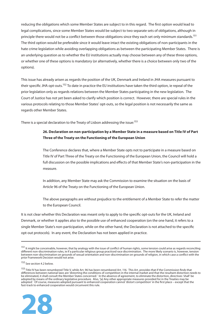reducing the obligations which some Member States are subject to in this regard. The first option would lead to legal complications, since some Member States would be subject to two separate sets of obligations, although in principle there would not be a conflict between those obligations since they each set only minimum standards.<sup>151</sup> The third option would be preferable since it would leave intact the existing obligations of non-participants in the hate crime legislation while avoiding overlapping obligations as between the participating Member States. There is an underlying question as to whether the EU institutions actually may choose between any of these three options, or whether one of these options is mandatory (or alternatively, whether there is a choice between only two of the options).

This issue has already arisen as regards the position of the UK, Denmark and Ireland in JHA measures pursuant to their specific JHA opt-outs.<sup>152</sup> To date in practice the EU institutions have taken the third option, ie repeal of the prior legislation only as regards relations between the Member States participating in the new legislation. The Court of Justice has not yet been asked to clarify which position is correct. However, there are special rules in the various protocols relating to those Member States' opt-outs, so the legal position is not necessarily the same as regards other Member States.

There is a special declaration to the Treaty of Lisbon addressing the issue:<sup>153</sup>

#### **26. Declaration on non-participation by a Member State in a measure based on Title IV of Part Three of the Treaty on the Functioning of the European Union**

The Conference declares that, where a Member State opts not to participate in a measure based on Title IV of Part Three of the Treaty on the Functioning of the European Union, the Council will hold a full discussion on the possible implications and effects of that Member State's non-participation in the measure.

In addition, any Member State may ask the Commission to examine the situation on the basis of Article 96 of the Treaty on the Functioning of the European Union.

The above paragraphs are without prejudice to the entitlement of a Member State to refer the matter to the European Council.

It is not clear whether this Declaration was meant only to apply to the specific opt-outs for the UK, Ireland and Denmark, or whether it applies also to the possible use of enhanced cooperation (on the one hand, it refers to a single Member State's non-participation, while on the other hand, the Declaration is not attached to the specific opt-out protocols). In any event, the Declaration has not been applied in practice.

<sup>&</sup>lt;sup>153</sup> Title IV has been renumbered Title V, while Art. 96 has been renumbered Art. 116. This Art. provides that if the Commission finds that differences between national laws are 'distorting the conditions of competition in the internal market and that the resultant distortion needs to be eliminated, it shall consult the Member States concerned.' In the absence of agreement, to eliminate the distortion, directives 'shall' be adopted by means of the ordinary legislative procedure. Also, '[a] Any other appropriate measures provided for in the Treaties may be adopted.' Of course, measures adopted pursuant to enhanced cooperation cannot 'distort competition' in the first place – except that the fast-track to enhanced cooperation would circumvent this rule.



<sup>&</sup>lt;sup>151</sup> It might be conceivable, however, that by analogy with the issue of conflict of human rights, some tension could arise as regards reconciling different non-discrimination rules, ie if a particular religious group practiced race discrimination. The more likely scenario is, however, tension between non-discrimination on grounds of sexual orientation and non-discrimination on grounds of religion, in which case a conflict with the prior Framework Decision would not arise.

<sup>152</sup> See section 4.2 below.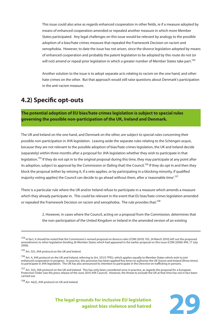This issue could also arise as regards enhanced cooperation in other fields, ie if a measure adopted by means of enhanced cooperation amended or repealed another measure in which more Member States participated. Any legal challenges on this issue would be relevant by analogy to the possible adoption of a bias/hate crimes measure that repealed the Framework Decision on racism and xenophobia. However, to date the issue has not arisen, since the divorce legislation adopted by means of enhanced cooperation and probably the patent legislation to be adopted by this route do not (or will not) amend or repeal prior legislation in which a greater number of Member States take part.<sup>154</sup>

Another solution to the issue is to adopt separate acts relating to racism on the one hand, and other hate crimes on the other. But that approach would still raise questions about Denmark's participation in the anti-racism measure.

### **4.2) Specific opt-outs**

**The potential adoption of EU bias/hate crimes legislation is subject to special rules governing the possible non-participation of the UK, Ireland and Denmark.**

The UK and Ireland on the one hand, and Denmark on the other, are subject to special rules concerning their possible non-participation in JHA legislation. Leaving aside the separate rules relating to the Schengen acquis, because they are not relevant to the possible adoption of bias/hate crimes legislation, the UK and Ireland decide (separately) within three months after a proposal for JHA legislation whether they wish to participate in that legislation.<sup>155</sup> If they do not opt in to the original proposal during this time, they may participate at any point after its adoption, subject to approval by the Commission or (failing that) the Council.<sup>156</sup> If they do opt in and then they block the proposal (either by vetoing it, if a veto applies, or by participating in a blocking minority, if qualified majority voting applies) the Council can decide to go ahead without them, after a 'reasonable time'.<sup>157</sup>

There is a particular rule where the UK and/or Ireland refuse to participate in a measure which amends a measure which they already participate in. This could be relevant in the event that EU bias/hate crimes legislation amended or repealed the Framework Decision on racism and xenophobia. The rule provides that:<sup>158</sup>

> 2. However, in cases where the Council, acting on a proposal from the Commission, determines that the non-participation of the United Kingdom or Ireland in the amended version of an existing

<sup>&</sup>lt;sup>154</sup> In fact, it should be noted that the Commission's revised proposal on divorce rules (COM (2010) 105, 24 March 2010) left out the proposed amendments to other legislation binding 26 Member States which had appeared in the earlier proposal on this issue (COM (2006) 499, 17 July 2006).

<sup>155</sup> Art. 3(1), JHA protocol on the UK and Ireland.

<sup>156</sup> Art. 4, JHA protocol on the UK and Ireland, referring to Art. 331(1) TFEU, which applies equally to Member States which wish to join enhanced cooperation in progress. In practice, this provision has been applied five times to authorise the UK (twice) and Ireland (three times) to participate in JHA legislation. The UK has also announced its intention to participate in the Directive on trafficking in persons.

<sup>&</sup>lt;sup>157</sup> Art. 3(2), JHA protocol on the UK and Ireland. This has only been considered once in practice, as regards the proposal for a European Protection Order (see the press release of the June 2010 JHA Council). However, the threat to exclude the UK at that time has not in fact been carried out.

<sup>158</sup> Art. 4a(2), JHA protocol on UK and Ireland.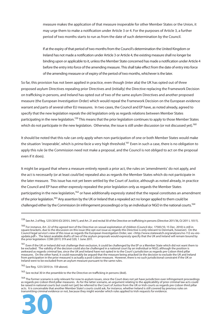measure makes the application of that measure inoperable for other Member States or the Union, it may urge them to make a notification under Article 3 or 4. For the purposes of Article 3, a further period of two months starts to run as from the date of such determination by the Council.

If at the expiry of that period of two months from the Council's determination the United Kingdom or Ireland has not made a notification under Article 3 or Article 4, the existing measure shall no longer be binding upon or applicable to it, unless the Member State concerned has made a notification under Article 4 before the entry into force of the amending measure. This shall take effect from the date of entry into force of the amending measure or of expiry of the period of two months, whichever is the later.

So far, this provision has not been applied in practice, even though (inter alia) the UK has opted out of three proposed asylum Directives repealing prior Directives and (initially) the Directive replacing the Framework Decision on trafficking in persons, and Ireland has opted out of two of the same asylum Directives and another proposed measure (the European Investigation Order) which would repeal the Framework Decision on the European evidence warrant and parts of several other EU measures. In two cases, the Council and EP have, as noted already, agreed to specify that the new legislation repeals the old legislation only as regards relations between Member States participating in the new legislation.<sup>159</sup> This means that the prior legislation continues to apply to those Member States which do not participate in the new legislation. Otherwise, the issue is still under discussion (or not discussed yet).<sup>160</sup>

It should be noted that this rule can only apply when non-participation of one or both Member States would make the situation 'inoperable', which is *prima facie* a very high threshold.<sup>161</sup> Even in such a case, there is no obligation to apply this rule (ie the Commission need not make a proposal, and the Council is not obliged to act on the proposal even if it does).

It might be argued that where a measure entirely repeals a prior act, the rules on 'amendments' do not apply, and the act is necessarily (or at least *could* be) repealed also as regards the Member States which do not participate in the later measure. This issue has not yet been settled by the Court of Justice, although as noted already, in practice the Council and EP have either expressly repealed the prior legislation only as regards the Member States participating in the new legislation,<sup>162</sup> or have additionally expressly stated that the repeal constitutes an amendment of the prior legislation.163 Any assertion by the UK or Ireland that a repealed act no longer applied to them could be challenged either by the Commission (in infringement proceedings) or by an individual or NGO in the national courts.<sup>164</sup>

162 See Reg. 1231/2010 (n. 159 above).

 $163$  See recital 30 in the preamble to the the Directive on trafficking in persons (ibid).

<sup>164</sup> The former scenario is only relevant for now to asylum issues, since the Court does not yet have jurisdiction over infringement proceedings as regards pre-Lisbon third pillar measures. As for the latter scenario, an argument relating to the applicability of prior criminal law acts could be raised in national courts but could not (yet) be referred to the Court of Justice from the UK or Irish courts as regards pre-Lisbon third pillar acts. It is conceivable that another Member State's courts could ask, for instance, whether Ireland is still covered by previous rules on



<sup>&</sup>lt;sup>159</sup> See Art. 2 of Req. 1231/2010 (OJ 2010 L 344/1), and Art. 21 and recital 30 of the Directive on trafficking in persons (Directive 2011/36, OJ 2011 L 101/1).

<sup>&</sup>lt;sup>160</sup> For instance, Art. 22 of the agreed text of the Directive on sexual exploitation of children (Council doc. 17583/10, 15 Dec. 2010) is still in square brackets, due to the discussion on this issue (the opt-out issue as regards this Directive is only relevant to Denmark, however). On the Council legal service's view of this issue as regards the European Investigation Order, see: <http://www.statewatch.org/analyses/no-112-eu-eioupdate.pdf>. The latest available drafts of two of the asylum proposals would expressly specify that the UK and Ireland will remain bound by the prior legislation: COM (2011) 319 and 320, 1 June 2011.

<sup>&</sup>lt;sup>161</sup> Even if the UK or Ireland did not challenge their exclusion, it could be challenged by the EP or a Member State which did not want them to be excluded. The validity of the decision could also be challenged in a national court by an individual or NGO, although the position is awkward as regards criminal law, since the UK and Ireland have not opted in to the Court's jurisdiction as regards pre-Lisbon third pillar measures. On the other hand, it could reasonably be argued that the measure being attacked (ie the decision to exclude the UK and Ireland from participation in the prior measure) is actually a post-Lisbon measure. However, there is no such jurisdictional constraint if the UK or Ireland were to be excluded from an asylum measure pursuant to the same rules.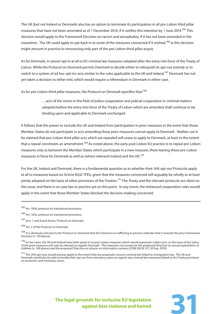The UK (but not Ireland or Denmark) also has an option to terminate its participation in all pre-Lisbon third pillar measures that have not been amended as of 1 December 2014, if it notifies this intention by 1 June 2014.<sup>165</sup> This decision would apply to the Framework Decision on racism and xenophobia, if it has not been amended in the meantime. The UK could apply to opt back in to some of the measures concerned if it wished,<sup>166</sup> ie this decision might amount in practice to renouncing only part of the pre-Lisbon third pillar acquis.

As for Denmark, it cannot opt in at all to EU criminal law measures adopted after the entry into force of the Treaty of Lisbon. While the Protocol on Denmark permits Denmark to decide either to relinquish its opt-out entirely or to switch to a system of ad hoc opt-ins very similar to the rules applicable to the UK and Ireland,<sup>167</sup> Denmark has not yet taken a decision to either end, which would require a referendum in Denmark in either case.

As for pre-Lisbon third pillar measures, the Protocol on Denmark specifies that:<sup>168</sup>

…acts of the Union in the field of police cooperation and judicial cooperation in criminal matters adopted before the entry into force of the Treaty of Lisbon which are amended shall continue to be binding upon and applicable to Denmark unchanged.

It follows that the power to exclude the UK and Ireland from participation in prior measures in the event that those Member States do not participate in acts amending those prior measures cannot apply to Denmark. Neither can it be claimed that pre-Lisbon third pillar acts which are repealed will cease to apply to Denmark, at least to the extent that a repeal constitutes an amendment.<sup>169</sup> As noted above, the early post-Lisbon EU practice is to repeal pre-Lisbon measures only as between the Member States which participate in a new measure, there leaving those pre-Lisbon measures in force for Denmark as well as (where relevant) Ireland and the UK.<sup>170</sup>

For the UK, Ireland and Denmark, there is a fundamental question as to whether their JHA opt-out Protocols apply at all to measures based on Article 83(2) TFEU, given that the measures concerned will arguably be wholly or at least jointly adopted on the basis of other provisions of the Treaties.<sup>171</sup> The Treaty and the relevant protocols are silent on this issue, and there is no case law or practice yet on this point. In any event, the enhanced cooperation rules would apply in the event that those Member States blocked the decision-making concerned.

<sup>165</sup> Art. 10(4), protocol on transitional provisions.

166 Art. 10(5), protocol on transitional provisions.

167 Arts. 7 and 8 and Annex, Protocol on Denmark.

168 Art. 2 of the Protocol on Denmark.

<sup>169</sup> It is obviously relevant to the Protocol on Denmark that the Directive on trafficking in persons indicates that it amends the prior Framework Decision (n. 159 above).

<sup>170</sup> In two cases, the UK and Ireland have both opted in to post-Lisbon measures which would repeal pre-Lisbon acts, so the issue of the status of the prior measures will only be relevant as regards Denmark. The measures concerned are the proposed Directive on sexual exploitation of children (n. 160 above) and the proposed Directive on attacks on information systems (COM (2010) 517, 30 Sep. 2010).

<sup>171</sup> The JHA opt-outs would anyway apply to the extent that any proposals concern criminal law linked to immigration law. The UK and Denmark would also be able to invoke their opt-out from monetary union as regards any criminal law measures linked to the Treaty provisions on economic and monetary union.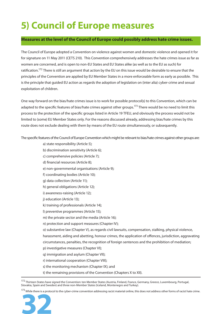## **5) Council of Europe measures**

#### **Measures at the level of the Council of Europe could possibly address hate crime issues.**

The Council of Europe adopted a Convention on violence against women and domestic violence and opened it for for signature on 11 May 2011 (CETS 210). This Convention comprehensively addresses the hate crimes issue as far as women are concerned, and is open to non-EU States and EU States alike (as well as to the EU as such) for ratification.<sup>172</sup> There is still an argument that action by the EU on this issue would be desirable to ensure that the principles of the Convention are applied by EU Member States in a more enforceable form as early as possible. This is the principle that guided EU action as regards the adoption of legislation on (inter alia) cyber-crime and sexual exploitation of children.

One way forward on the bias/hate crimes issue is to work for possible protocol(s) to this Convention, which can be adapted to the specific features of bias/hate crimes against other groups.<sup>173</sup> There would be no need to limit this process to the protection of the specific groups listed in Article 19 TFEU, and obviously the process would not be limited to (some) EU Member States only. For the reasons discussed already, addressing bias/hate crimes by this route does not exclude dealing with them by means of the EU route simultaneously, or subsequently.

The specific features of the Council of Europe Convention which might be relevant to bias/hate crimes against other groups are:

- a) state responsibility (Article 5);
- b) discrimination sensitivity (Article 6);
- c) comprehensive policies (Article 7);
- d) financial resources (Article 8);
- e) non-governmental organisations (Article 9);
- f) coordinating bodies (Article 10);
- g) data collection (Article 11);
- h) general obligations (Article 12);
- i) awareness-raising (Article 12);
- j) education (Article 13);
- k) training of professionals (Article 14);
- l) preventive programmes (Article 15);
- m) the private sector and the media (Article 16);
- n) protection and support measures (Chapter IV);
- o) substantive law (Chapter V), as regards civil lawsuits, compensation, stalking, physical violence,
- harassment, aiding and abetting, honour crimes, the application of offences, jurisdiction, aggravating
- circumstances, penalties, the recognition of foreign sentences and the prohibition of mediation;
- p) investigative measures (Chapter VI);
- q) immigration and asylum (Chapter VII);
- r) international cooperation (Chapter VIII);
- s) the monitoring mechanism (Chapter IX); and
- t) the remaining provisions of the Convention (Chapters X to XII).

172 Thirteen States have signed the Convention: ten Member States (Austria, Finland, France, Germany, Greece, Luxembourg, Portugal, Slovakia, Spain and Sweden) and three non-Member States (Iceland, Montenegro and Turkey).

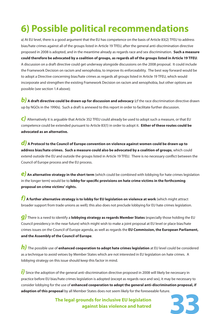## **6) Possible political recommendations**

a) At EU level, there is a good argument that the EU has competence on the basis of Article 83(2) TFEU to address bias/hate crimes against all of the groups listed in Article 19 TFEU, after the general anti-discrimination directive proposed in 2008 is adopted, and in the meantime already as regards race and sex discrimination. **Such a measure could therefore be advocated by a coalition of groups, as regards all of the groups listed in Article 19 TFEU**. A discussion on a draft directive could get underway alongside discussions on the 2008 proposal. It could include the Framework Decision on racism and xenophobia, to improve its enforceability. The best way forward would be to adopt a Directive concerning bias/hate crimes as regards all groups listed in Article 19 TFEU, which would incorporate and strengthen the existing Framework Decision on racism and xenophobia, but other options are possible (see section 1.4 above);

**b**) A draft directive could be drawn up for discussion and advocacy (cf the race discrimination directive drawn up by NGOs in the 1990s). Such a draft is annexed to this report in order to facilitate further discussion.

*c)* Alternatively it is arguable that Article 352 TFEU could already be used to adopt such a measure, or that EU competence could be extended pursuant to Article 83(1) in order to adopt it. **Either of these routes could be advocated as an alternative.** 

*d)* **A Protocol to the Council of Europe convention on violence against women could be drawn up to address bias/hate crimes. Such a measure could also be advocated by a coalition of groups**, which could extend outside the EU and outside the groups listed in Article 19 TFEU. There is no necessary conflict between the Council of Europe process and the EU process.

*e)* **An alternative strategy in the short term** (which could be combined with lobbying for hate crimes legislation in the longer term) would be to **lobby for specific provisions on hate crime victims in the forthcoming proposal on crime victims' rights.** 

*f)* **A further alternative strategy is to lobby for EU legislation on violence at work** (which might attract broader support from trade unions as well); this also does not preclude lobbying for EU hate crimes legislation.

*g)* There is a need to identify a **lobbying strategy as regards Member States** (especially those holding the EU Council presidency in the near future) which might wish to make a joint proposal at EU level or place bias/hate crimes issues on the Council of Europe agenda, as well as regards the **EU Commission, the European Parliament, and the Assembly of the Council of Europe**.

*h)* The possible use of **enhanced cooperation to adopt hate crimes legislation** at EU level could be considered as a technique to avoid vetoes by Member States which are not interested in EU legislation on hate crimes. A lobbying strategy on this issue should keep this factor in mind.

*i*) Since the adoption of the general anti-discrimination directive proposed in 2008 will likely be necessary in practice before EU bias/hate crimes legislation is adopted (except as regards race and sex), it may be necessary to consider lobbying for the use of **enhanced cooperation to adopt the general anti-discrimination proposal, if adoption of this proposal** by all Member States does not seem likely for the foreseeable future.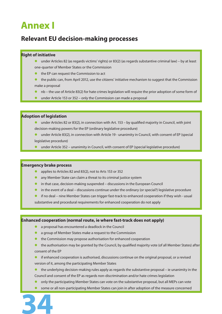## **Annex I**

### **Relevant EU decision-making processes**

#### **Right of initiative**

- under Articles 82 (as regards victims' rights) or 83(2) (as regards substantive criminal law) by at least one-quarter of Member States or the Commission
- the EP can request the Commission to act
- the public can, from April 2012, use the citizens' initiative mechanism to suggest that the Commission make a proposal
- nb the use of Article 83(2) for hate crimes legislation will require the prior adoption of some form of
- $\bullet$  under Article 153 or 352 only the Commission can made a proposal

#### **Adoption of legislation**

- under Articles 82 or 83(2), in connection with Art. 153 by qualified majority in Council, with joint decision-making powers for the EP (ordinary legislative procedure)
- under Article 83(2), in connection with Article 19 unanimity in Council, with consent of EP (special legislative procedure)
- under Article 352 unanimity in Council, with consent of EP (special legislative procedure)

#### **Emergency brake process**

- applies to Articles 82 and 83(2), not to Arts 153 or 352
- any Member State can claim a threat to its criminal justice system
- $\bullet$  in that case, decision-making suspended discussions in the European Council
- $\bullet$  in the event of a deal discussions continue under the ordinary (or special?) legislative procedure
- **•** if no deal nine Member States can trigger fast-track to enhanced cooperation if they wish usual

substantive and procedural requirements for enhanced cooperation do not apply

#### **Enhanced cooperation (normal route, ie where fast-track does not apply)**

- $\bullet$  a proposal has encountered a deadlock in the Council
- **a** a group of Member States make a request to the Commission
- $\bullet$  the Commission may propose authorisation for enhanced cooperation
- the authorisation may be granted by the Council, by qualified majority vote (of all Member States) after consent of the EP

 $\bullet$  if enhanced cooperation is authorised, discussions continue on the original proposal, or a revised version of it, among the participating Member States

- the underlying decision-making rules apply as regards the substantive proposal ie unanimity in the Council and consent of the EP as regards non-discrimination and/or hate crimes legislation
- only the participating Member States can vote on the substantive proposal, but all MEPs can vote
- **34** some or all non-participating Member States can join in after adoption of the measure concerned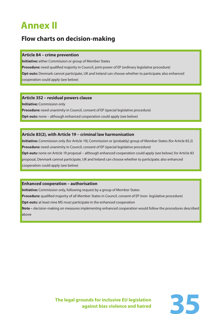## **Annex II**

### **Flow charts on decision-making**

#### **Article 84 – crime prevention**

**Initiative:** either Commission or group of Member States **Procedure:** need qualified majority in Council, joint power of EP (ordinary legislative procedure) **Opt-outs:** Denmark cannot participate, UK and Ireland can choose whether to participate; also enhanced cooperation could apply (see below)

#### **Article 352 – residual powers clause**

**Initiative:** Commission only **Procedure:** need unanimity in Council, consent of EP (special legislative procedure) **Opt-outs:** none – although enhanced cooperation could apply (see below)

#### **Article 83(2), with Article 19 – criminal law harmonisation**

**Initiative:** Commission only (for Article 19); Commission or (probably) group of Member States (for Article 83.2) **Procedure:** need unanimity in Council, consent of EP (special legislative procedure) **Opt-outs:** none on Article 19 proposal – although enhanced cooperation could apply (see below); for Article 83 proposal, Denmark cannot participate, UK and Ireland can choose whether to participate; also enhanced cooperation could apply (see below)

#### **Enhanced cooperation – authorisation**

**Initiative:** Commission only, following request by a group of Member States

**Procedure:** qualified majority of all Member States in Council, consent of EP (non- legislative procedure)

**Opt-outs:** at least nine MS must participate in the enhanced cooperation

**Note –** decision-making on measures implementing enhanced cooperation would follow the procedures described above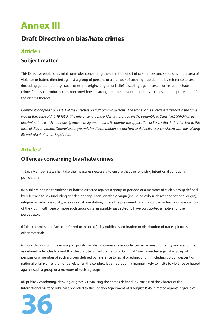## **Annex III**

### **Draft Directive on bias/hate crimes**

#### *Article 1*

#### **Subject matter**

This Directive establishes minimum rules concerning the definition of criminal offences and sanctions in the area of violence or hatred directed against a group of persons or a member of such a group defined by reference to sex (including gender identity), racial or ethnic origin, religion or belief, disability, age or sexual orientation ('hate crimes'). It also introduces common provisions to strengthen the prevention of these crimes and the protection of the victims thereof.

Comment: adapted from Art. 1 of the Directive on trafficking in persons. The scope of the Directive is defined in the same way as the scope of Art. 19 TFEU. The reference to 'gender identity' is based on the preamble to Directive 2006/54 on sex discrimination, which mentions "gender reassignment", and it confirms the application of EU sex discrimination law to this form of discrimination. Otherwise the grounds for discrimination are not further defined; this is consistent with the existing EU anti-discrimination legislation.

#### *Article 2*

#### **Offences concerning bias/hate crimes**

1. Each Member State shall take the measures necessary to ensure that the following intentional conduct is punishable:

(a) publicly inciting to violence or hatred directed against a group of persons or a member of such a group defined by reference to sex (including gender identity), racial or ethnic origin (including colour, descent or national origin), religion or belief, disability, age or sexual orientation, where the presumed inclusion of the victim in, or association of the victim with, one or more such grounds is reasonably suspected to have constituted a motive for the perpetrator;

(b) the commission of an act referred to in point (a) by public dissemination or distribution of tracts, pictures or other material;

(c) publicly condoning, denying or grossly trivialising crimes of genocide, crimes against humanity and war crimes as defined in Articles 6, 7 and 8 of the Statute of the International Criminal Court, directed against a group of persons or a member of such a group defined by reference to racial or ethnic origin (including colour, descent or national origin) or religion or belief, when the conduct is carried out in a manner likely to incite to violence or hatred against such a group or a member of such a group;

(d) publicly condoning, denying or grossly trivialising the crimes defined in Article 6 of the Charter of the International Military Tribunal appended to the London Agreement of 8 August 1945, directed against a group of

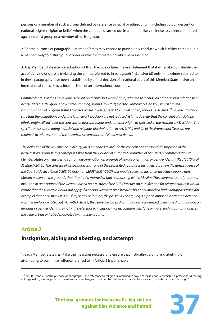persons or a member of such a group defined by reference to racial or ethnic origin (including colour, descent or national origin), religion or belief, when the conduct is carried out in a manner likely to incite to violence or hatred against such a group or a member of such a group.

2. For the purpose of paragraph 1, Member States may choose to punish only conduct which is either carried out in a manner likely to disturb public order or which is threatening, abusive or insulting.

3. Any Member State may, on adoption of this Directive or later, make a statement that it will make punishable the act of denying or grossly trivialising the crimes referred to in paragraph 1(c) and/or (d) only if the crimes referred to in these paragraphs have been established by a final decision of a national court of this Member State and/or an international court, or by a final decision of an international court only.

Comment: Art. 1 of the Framework Decision on racism and xenophobia, adapted to include all of the groups referred to in Article 19 TFEU. Religion is now a free-standing ground, so Art. 1(3) of the Framework Decision, which limited criminalisation of religious hatred to cases where it was a pretext for racial hatred, should be deleted.<sup>174</sup> In order to make sure that the obligations under the Framework Decision are not reduced, it is made clear that the concept of racial and ethnic origin still includes the concepts of descent, colour and national origin, as specified in the Framework Decision. The specific provisions relating to racial and religious discrimination in Art.  $1(1)(c)$  and (d) of the Framework Decision are retained, to take account of the historical circumstances of Holocaust denial.

The definition of the key offence in Art.  $2(1)(a)$  is amended to include the concept of a 'reasonable' suspicion of the perpetrator's grounds; this concept is taken from the Council of Europe's Committee of Ministers recommendation to Member States on measures to combat discrimination on grounds of sexual orientation or gender identity (Rec (2010) 5 of 31 March 2010). The concept of 'association with' one of the prohibited grounds is included, based on the jurisprudence of the Court of Justice (Case C-303/06 Coleman [2008] ECR I-5603); this would cover, for instance, an attack upon a non-Muslim person on the grounds that they had a married or had relationship with a Muslim. The reference to the 'presumed' inclusion or association of the victim is based on Art. 10(2) of the EU's Directive on qualification for refugee status; it would ensure that the Directive would still apply if a person were attacked because his or her attacked had wrongly assumed (for example) that he or she was a Muslim, or gay or lesbian; the possibility of arguing a type of 'impossible attempt' defence would therefore be ruled out. As with Article 1, the reference to sex discrimination is confirmed to include discrimination on grounds of gender identity. Finally, the reference to inclusion in or association with 'one or more' such grounds addresses the issue of bias or hatred motivated by multiple grounds.

#### *Article 3*

#### **Instigation, aiding and abetting, and attempt**

1. Each Member State shall take the measures necessary to ensure that instigating, aiding and abetting or attempting to commit an offence referred to in Article 2 is punishable.

 $174$  Art. 1(3) reads: 'For the purpose of paragraph 1, the reference to religion is intended to cover, at least, conduct which is a pretext for directing acts against a group of persons or a member of such a group defined by reference to race, colour, descent, or national or ethnic origin'.

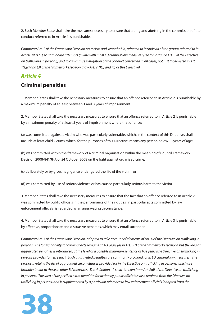2. Each Member State shall take the measures necessary to ensure that aiding and abetting in the commission of the conduct referred to in Article 1 is punishable.

Comment: Art. 2 of the Framework Decision on racism and xenophobia, adapted to include all of the groups referred to in Article 19 TFEU, to criminalise attempts (in line with most EU criminal law measures (see for instance Art. 3 of the Directive on trafficking in persons), and to criminalise instigation of the conduct concerned in all cases, not just those listed in Art.  $1(1)(c)$  and (d) of the Framework Decision (now Art.  $2(1)(c)$  and (d) of this Directive).

#### *Article 4*

#### **Criminal penalties**

1. Member States shall take the necessary measures to ensure that an offence referred to in Article 2 is punishable by a maximum penalty of at least between 1 and 3 years of imprisonment.

2. Member States shall take the necessary measures to ensure that an offence referred to in Article 2 is punishable by a maximum penalty of at least 5 years of imprisonment where that offence:

(a) was committed against a victim who was particularly vulnerable, which, in the context of this Directive, shall include at least child victims, which, for the purposes of this Directive, means any person below 18 years of age;

(b) was committed within the framework of a criminal organisation within the meaning of Council Framework Decision 2008/841/JHA of 24 October 2008 on the fight against organised crime;

(c) deliberately or by gross negligence endangered the life of the victim; or

(d) was committed by use of serious violence or has caused particularly serious harm to the victim.

3. Member States shall take the necessary measures to ensure that the fact that an offence referred to in Article 2 was committed by public officials in the performance of their duties, in particular acts committed by law enforcement officials, is regarded as an aggravating circumstance.

4. Member States shall take the necessary measures to ensure that an offence referred to in Article 3 is punishable by effective, proportionate and dissuasive penalties, which may entail surrender.

Comment: Art. 3 of the Framework Decision, adapted to take account of elements of Art. 4 of the Directive on trafficking in persons. The 'basic' liability for criminal acts remains at 1-3 years (as in Art. 3(1) of the Framework Decision), but the idea of aggravated penalties is introduced, at the level of a possible minimum sentence of five years (the Directive on trafficking in persons provides for ten years). Such aggravated penalties are commonly provided for in EU criminal law measures. The proposal retains the list of aggravated circumstances provided for in the Directive on trafficking in persons, which are broadly similar to those in other EU measures. The definition of 'child' is taken from Art. 2(6) of the Directive on trafficking in persons. The idea of unspecified extra penalties for action by public officials is also retained from the Directive on trafficking in persons, and is supplemented by a particular reference to law enforcement officials (adapted from the

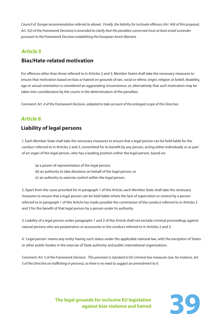Council of Europe recommendation referred to above). Finally, the liability for inchoate offences (Art. 4(4) of this proposal, Art. 3(2) of the Framework Decision) is amended to clarify that the penalties concerned must at least entail surrender pursuant to the Framework Decision establishing the European Arrest Warrant.

#### *Article 5*

#### **Bias/Hate-related motivation**

For offences other than those referred to in Articles 2 and 3, Member States shall take the necessary measures to ensure that motivation based on bias or hatred on grounds of sex, racial or ethnic origin, religion or belief, disability, age or sexual orientation is considered an aggravating circumstance, or, alternatively that such motivation may be taken into consideration by the courts in the determination of the penalties.

Comment: Art. 4 of the Framework Decision, adapted to take account of the enlarged scope of this Directive.

#### *Article 6*

#### **Liability of legal persons**

1. Each Member State shall take the necessary measures to ensure that a legal person can be held liable for the conduct referred to in Articles 2 and 3, committed for its benefit by any person, acting either individually or as part of an organ of the legal person, who has a leading position within the legal person, based on:

- (a) a power of representation of the legal person;
- (b) an authority to take decisions on behalf of the legal person; or
- (c) an authority to exercise control within the legal person.

2. Apart from the cases provided for in paragraph 1 of this Article, each Member State shall take the necessary measures to ensure that a legal person can be held liable where the lack of supervision or control by a person referred to in paragraph 1 of this Article has made possible the commission of the conduct referred to in Articles 2 and 3 for the benefit of that legal person by a person under its authority.

3. Liability of a legal person under paragraphs 1 and 2 of this Article shall not exclude criminal proceedings against natural persons who are perpetrators or accessories in the conduct referred to in Articles 2 and 3.

4. 'Legal person' means any entity having such status under the applicable national law, with the exception of States or other public bodies in the exercise of State authority and public international organisations.

Comment: Art. 5 of the Framework Decision. This provision is standard in EU criminal law measures (see, for instance, Art. 5 of the Directive on trafficking in persons), so there is no need to suggest an amendment to it.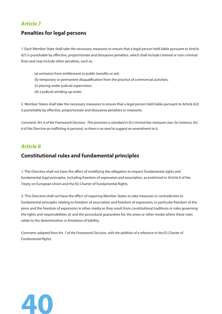#### *Article 7*

#### **Penalties for legal persons**

1. Each Member State shall take the necessary measures to ensure that a legal person held liable pursuant to Article 6(1) is punishable by effective, proportionate and dissuasive penalties, which shall include criminal or non-criminal fines and may include other penalties, such as:

- (a) exclusion from entitlement to public benefits or aid;
- (b) temporary or permanent disqualification from the practice of commercial activities;
- (c) placing under judicial supervision;
- (d) a judicial winding-up order.

2. Member States shall take the necessary measures to ensure that a legal person held liable pursuant to Article 6(2) is punishable by effective, proportionate and dissuasive penalties or measures.

Comment: Art. 6 of the Framework Decision. This provision is standard in EU criminal law measures (see, for instance, Art. 6 of the Directive on trafficking in persons), so there is no need to suggest an amendment to it.

#### *Article 8*

#### **Constitutional rules and fundamental principles**

1. This Directive shall not have the effect of modifying the obligation to respect fundamental rights and fundamental legal principles, including freedom of expression and association, as enshrined in Article 6 of the Treaty on European Union and the EU Charter of Fundamental Rights.

2. This Directive shall not have the effect of requiring Member States to take measures in contradiction to fundamental principles relating to freedom of association and freedom of expression, in particular freedom of the press and the freedom of expression in other media as they result from constitutional traditions or rules governing the rights and responsibilities of, and the procedural guarantees for, the press or other media where these rules relate to the determination or limitation of liability.

Comment: adapted from Art. 7 of the Framework Decision, with the addition of a reference to the EU Charter of Fundamental Rights.

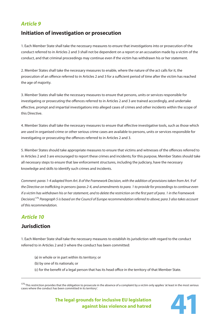#### *Article 9*

#### **Initiation of investigation or prosecution**

1. Each Member State shall take the necessary measures to ensure that investigations into or prosecution of the conduct referred to in Articles 2 and 3 shall not be dependent on a report or an accusation made by a victim of the conduct, and that criminal proceedings may continue even if the victim has withdrawn his or her statement.

2. Member States shall take the necessary measures to enable, where the nature of the act calls for it, the prosecution of an offence referred to in Articles 2 and 3 for a sufficient period of time after the victim has reached the age of majority.

3. Member States shall take the necessary measures to ensure that persons, units or services responsible for investigating or prosecuting the offences referred to in Articles 2 and 3 are trained accordingly, and undertake effective, prompt and impartial investigations into alleged cases of crimes and other incidents within the scope of this Directive.

4. Member States shall take the necessary measures to ensure that effective investigative tools, such as those which are used in organised crime or other serious crime cases are available to persons, units or services responsible for investigating or prosecuting the offences referred to in Articles 2 and 3.

5. Member States should take appropriate measures to ensure that victims and witnesses of the offences referred to in Articles 2 and 3 are encouraged to report these crimes and incidents; for this purpose, Member States should take all necessary steps to ensure that law enforcement structures, including the judiciary, have the necessary knowledge and skills to identify such crimes and incidents.

Comment: paras 1-4 adapted from Art. 8 of the Framework Decision, with the addition of provisions taken from Art. 9 of the Directive on trafficking in persons (paras 2-4, and amendments to para. 1 to provide for proceedings to continue even if a victim has withdrawn his or her statement, and to delete the restriction on the first part of para. 1 in the Framework Decision).<sup>175</sup> Paragraph 5 is based on the Council of Europe recommendation referred to above; para 3 also takes account of this recommendation.

#### *Article 10*

#### **Jurisdiction**

1. Each Member State shall take the necessary measures to establish its jurisdiction with regard to the conduct referred to in Articles 2 and 3 where the conduct has been committed:

 (a) in whole or in part within its territory; or (b) by one of its nationals; or (c) for the benefit of a legal person that has its head office in the territory of that Member State.

<sup>&</sup>lt;sup>175</sup> This restriction provides that the obligation to prosecute in the absence of a complaint by a victim only applies 'at least in the most serious cases where the conduct has been committed in its territory'.

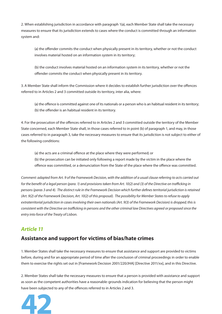2. When establishing jurisdiction in accordance with paragraph 1(a), each Member State shall take the necessary measures to ensure that its jurisdiction extends to cases where the conduct is committed through an information system and:

(a) the offender commits the conduct when physically present in its territory, whether or not the conduct involves material hosted on an information system in its territory;

 (b) the conduct involves material hosted on an information system in its territory, whether or not the offender commits the conduct when physically present in its territory.

3. A Member State shall inform the Commission where it decides to establish further jurisdiction over the offences referred to in Articles 2 and 3 committed outside its territory, inter alia, where:

(a) the offence is committed against one of its nationals or a person who is an habitual resident in its territory; (b) the offender is an habitual resident in its territory.

4. For the prosecution of the offences referred to in Articles 2 and 3 committed outside the territory of the Member State concerned, each Member State shall, in those cases referred to in point (b) of paragraph 1, and may, in those cases referred to in paragraph 3, take the necessary measures to ensure that its jurisdiction is not subject to either of the following conditions:

(a) the acts are a criminal offence at the place where they were performed; or

 (b) the prosecution can be initiated only following a report made by the victim in the place where the offence was committed, or a denunciation from the State of the place where the offence was committed.

Comment: adapted from Art. 9 of the Framework Decision, with the addition of a usual clause referring to acts carried out for the benefit of a legal person (para. 1) and provisions taken from Art. 10(2) and (3) of the Directive on trafficking in persons (paras 3 and 4). The distinct rule in the Framework Decision which further defines territorial jurisdiction is retained (Art. 9(2) of the Framework Decision, Art. 10(2) of this proposal). The possibility for Member States to refuse to apply extraterritorial jurisdiction in cases involving their own nationals (Art. 9(3) of the Framework Decision) is dropped; this is consistent with the Directive on trafficking in persons and the other criminal law Directives agreed or proposed since the entry into force of the Treaty of Lisbon.

#### *Article 11*

#### **Assistance and support for victims of bias/hate crimes**

1. Member States shall take the necessary measures to ensure that assistance and support are provided to victims before, during and for an appropriate period of time after the conclusion of criminal proceedings in order to enable them to exercise the rights set out in [Framework Decision 2001/220/JHA] [Directive 2011/xx], and in this Directive.

2. Member States shall take the necessary measures to ensure that a person is provided with assistance and support as soon as the competent authorities have a reasonable-grounds indication for believing that the person might have been subjected to any of the offences referred to in Articles 2 and 3.

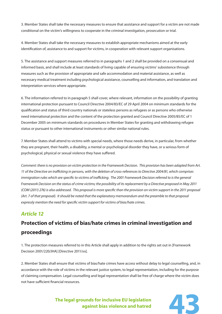3. Member States shall take the necessary measures to ensure that assistance and support for a victim are not made conditional on the victim's willingness to cooperate in the criminal investigation, prosecution or trial.

4. Member States shall take the necessary measures to establish appropriate mechanisms aimed at the early identification of, assistance to and support for victims, in cooperation with relevant support organisations.

5. The assistance and support measures referred to in paragraphs 1 and 2 shall be provided on a consensual and informed basis, and shall include at least standards of living capable of ensuring victims' subsistence through measures such as the provision of appropriate and safe accommodation and material assistance, as well as necessary medical treatment including psychological assistance, counselling and information, and translation and interpretation services where appropriate.

6. The information referred to in paragraph 5 shall cover, where relevant, information on the possibility of granting international protection pursuant to Council Directive 2004/83/EC of 29 April 2004 on minimum standards for the qualification and status of third country nationals or stateless persons as refugees or as persons who otherwise need international protection and the content of the protection granted and Council Directive 2005/85/EC of 1 December 2005 on minimum standards on procedures in Member States for granting and withdrawing refugee status or pursuant to other international instruments or other similar national rules.

7. Member States shall attend to victims with special needs, where those needs derive, in particular, from whether they are pregnant, their health, a disability, a mental or psychological disorder they have, or a serious form of psychological, physical or sexual violence they have suffered.

Comment: there is no provision on victim protection in the Framework Decision. This provision has been adapted from Art. 11 of the Directive on trafficking in persons, with the deletion of cross-references to Directive 2004/81, which comprises immigration rules which are specific to victims of trafficking. The 2001 Framework Decision referred to is the general Framework Decision on the status of crime victims; the possibility of its replacement by a Directive proposed in May 2011 (COM (2011) 276) is also addressed. This proposal is more specific than the provision on victim support in the 2011 proposal (Art. 7 of that proposal). It should be noted that the explanatory memorandum and the preamble to that proposal expressly mention the need for specific victim support for victims of bias/hate crimes.

### *Article 12*

### **Protection of victims of bias/hate crimes in criminal investigation and proceedings**

1. The protection measures referred to in this Article shall apply in addition to the rights set out in [Framework Decision 2001/220/JHA] [Directive 2011/xx].

2. Member States shall ensure that victims of bias/hate crimes have access without delay to legal counselling, and, in accordance with the role of victims in the relevant justice system, to legal representation, including for the purpose of claiming compensation. Legal counselling and legal representation shall be free of charge where the victim does not have sufficient financial resources

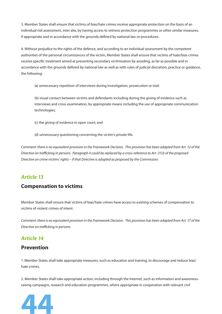3. Member States shall ensure that victims of bias/hate crimes receive appropriate protection on the basis of an individual risk assessment, inter alia, by having access to witness protection programmes or other similar measures, if appropriate and in accordance with the grounds defined by national law or procedures.

4. Without prejudice to the rights of the defence, and according to an individual assessment by the competent authorities of the personal circumstances of the victim, Member States shall ensure that victims of hate/bias crimes receive specific treatment aimed at preventing secondary victimisation by avoiding, as far as possible and in accordance with the grounds defined by national law as well as with rules of judicial discretion, practice or guidance, the following:

(a) unnecessary repetition of interviews during investigation, prosecution or trial;

 (b) visual contact between victims and defendants including during the giving of evidence such as interviews and cross-examination, by appropriate means including the use of appropriate communication technologies;

(c) the giving of evidence in open court; and

(d) unnecessary questioning concerning the victim's private life.

Comment: there is no equivalent provision in the Framework Decision. This provision has been adapted from Art. 12 of the Directive on trafficking in persons. Paragraph 4 could be replaced by a cross-reference to Art. 21(3) of the proposed Directive on crime victims' rights – if that Directive is adopted as proposed by the Commission.

#### *Article 13*

#### **Compensation to victims**

Member States shall ensure that victims of bias/hate crimes have access to existing schemes of compensation to victims of violent crimes of intent.

Comment: there is no equivalent provision in the Framework Decision. This provision has been adapted from Art. 17 of the Directive on trafficking in persons.

#### *Article 14*

#### **Prevention**

1. Member States shall take appropriate measures, such as education and training, to discourage and reduce bias/ hate crimes.

2. Member States shall take appropriate action, including through the Internet, such as information and awarenessraising campaigns, research and education programmes, where appropriate in cooperation with relevant civil

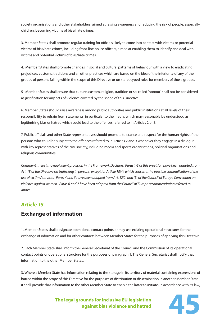society organisations and other stakeholders, aimed at raising awareness and reducing the risk of people, especially children, becoming victims of bias/hate crimes.

3. Member States shall promote regular training for officials likely to come into contact with victims or potential victims of bias/hate crimes, including front-line police officers, aimed at enabling them to identify and deal with victims and potential victims of bias/hate crimes.

4. Member States shall promote changes in social and cultural patterns of behaviour with a view to eradicating prejudices, customs, traditions and all other practices which are based on the idea of the inferiority of any of the groups of persons falling within the scope of this Directive or on stereotyped roles for members of those groups.

5 Member States shall ensure that culture, custom, religion, tradition or so-called 'honour' shall not be considered as justification for any acts of violence covered by the scope of this Directive.

6. Member States should raise awareness among public authorities and public institutions at all levels of their responsibility to refrain from statements, in particular to the media, which may reasonably be understood as legitimising bias or hatred which could lead to the offences referred to in Articles 2 or 3.

7. Public officials and other State representatives should promote tolerance and respect for the human rights of the persons who could be subject to the offences referred to in Articles 2 and 3 whenever they engage in a dialogue with key representatives of the civil society, including media and sports organisations, political organisations and religious communities.

Comment: there is no equivalent provision in the Framework Decision. Paras 1-3 of this provision have been adapted from Art. 18 of the Directive on trafficking in persons, except for Article 18(4), which concerns the possible criminalisation of the use of victims' services. Paras 4 and 5 have been adapted from Art. 12(2) and (5) of the Council of Europe Convention on violence against women. Paras 6 and 7 have been adapted from the Council of Europe recommendation referred to above.

#### *Article 15*

#### **Exchange of information**

1. Member States shall designate operational contact points or may use existing operational structures for the exchange of information and for other contacts between Member States for the purposes of applying this Directive.

2. Each Member State shall inform the General Secretariat of the Council and the Commission of its operational contact points or operational structure for the purposes of paragraph 1. The General Secretariat shall notify that information to the other Member States.

3. Where a Member State has information relating to the storage in its territory of material containing expressions of hatred within the scope of this Directive for the purposes of distribution or dissemination in another Member State it shall provide that information to the other Member State to enable the latter to initiate, in accordance with its law,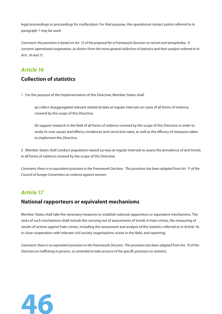legal proceedings or proceedings for confiscation. For that purpose, the operational contact points referred to in paragraph 1 may be used.

Comment: this provision is based on Art. 15 of the proposal for a Framework Decision on racism and xenophobia. It concerns operational cooperation, as distinct from the more general collection of statistics and their analysis referred to in Arts. 16 and 17.

#### *Article 16*

#### **Collection of statistics**

1 For the purpose of the implementation of this Directive, Member States shall:

 (a) collect disaggregated relevant statistical data at regular intervals on cases of all forms of violence covered by the scope of this Directive;

(b) support research in the field of all forms of violence covered by the scope of this Directive in order to study its root causes and effects, incidences and conviction rates, as well as the efficacy of measures taken to implement this Directive.

2 Member States shall conduct population-based surveys at regular intervals to assess the prevalence of and trends in all forms of violence covered by the scope of this Directive.

Comment: there is no equivalent provision in the Framework Decision. This provision has been adapted from Art. 11 of the Council of Europe Convention on violence against women.

#### *Article 17*

#### **National rapporteurs or equivalent mechanisms**

Member States shall take the necessary measures to establish national rapporteurs or equivalent mechanisms. The tasks of such mechanisms shall include the carrying out of assessments of trends in hate crimes, the measuring of results of actions against hate crimes, including the assessment and analysis of the statistics referred to in Article 16, in close cooperation with relevant civil society organisations active in this field, and reporting.

Comment: there is no equivalent provision in the Framework Decision. This provision has been adapted from Art. 19 of the Directive on trafficking in persons, as amended to take account of the specific provision on statistics.

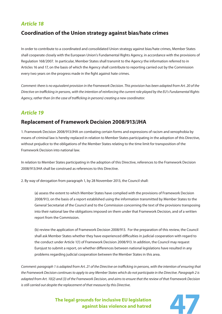#### *Article 18*

#### **Coordination of the Union strategy against bias/hate crimes**

In order to contribute to a coordinated and consolidated Union strategy against bias/hate crimes, Member States shall cooperate closely with the European Union's Fundamental Rights Agency, in accordance with the provisions of Regulation 168/2007. In particular, Member States shall transmit to the Agency the information referred to in Articles 16 and 17, on the basis of which the Agency shall contribute to reporting carried out by the Commission every two years on the progress made in the fight against hate crimes.

Comment: there is no equivalent provision in the Framework Decision. This provision has been adapted from Art. 20 of the Directive on trafficking in persons, with the intention of reinforcing the current role played by the EU's Fundamental Rights Agency, rather than (in the case of trafficking in persons) creating a new coordinator.

#### *Article 19*

#### **Replacement of Framework Decision 2008/913/JHA**

1. Framework Decision 2008/913/JHA on combating certain forms and expressions of racism and xenophobia by means of criminal law is hereby replaced in relation to Member States participating in the adoption of this Directive, without prejudice to the obligations of the Member States relating to the time limit for transposition of the Framework Decision into national law.

In relation to Member States participating in the adoption of this Directive, references to the Framework Decision 2008/913/JHA shall be construed as references to this Directive.

2. By way of derogation from paragraph 1, by 28 November 2013, the Council shall:

 (a) assess the extent to which Member States have complied with the provisions of Framework Decision 2008/913, on the basis of a report established using the information transmitted by Member States to the General Secretariat of the Council and to the Commission concerning the text of the provisions transposing into their national law the obligations imposed on them under that Framework Decision, and of a written report from the Commission.

 (b) review the application of Framework Decision 2008/913. For the preparation of this review, the Council shall ask Member States whether they have experienced difficulties in judicial cooperation with regard to the conduct under Article 1(1) of Framework Decision 2008/913. In addition, the Council may request Eurojust to submit a report, on whether differences between national legislations have resulted in any problems regarding judicial cooperation between the Member States in this area.

Comment: paragraph 1 is adapted from Art. 21 of the Directive on trafficking in persons, with the intention of ensuring that the Framework Decision continues to apply to any Member States which do not participate in the Directive. Paragraph 2 is adapted from Art. 10(2) and (3) of the Framework Decision, and aims to ensure that the review of that Framework Decision is still carried out despite the replacement of that measure by this Directive.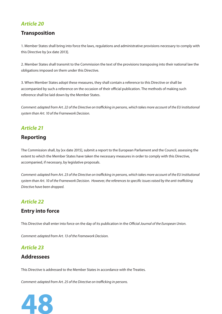#### *Article 20*

#### **Transposition**

1. Member States shall bring into force the laws, regulations and administrative provisions necessary to comply with this Directive by [xx date 2013].

2. Member States shall transmit to the Commission the text of the provisions transposing into their national law the obligations imposed on them under this Directive.

3. When Member States adopt these measures, they shall contain a reference to this Directive or shall be accompanied by such a reference on the occasion of their official publication. The methods of making such reference shall be laid down by the Member States.

Comment: adapted from Art. 22 of the Directive on trafficking in persons, which takes more account of the EU institutional system than Art. 10 of the Framework Decision.

#### *Article 21*

#### **Reporting**

The Commission shall, by [xx date 2015], submit a report to the European Parliament and the Council, assessing the extent to which the Member States have taken the necessary measures in order to comply with this Directive, accompanied, if necessary, by legislative proposals.

Comment: adapted from Art. 23 of the Directive on trafficking in persons, which takes more account of the EU institutional system than Art. 10 of the Framework Decision. However, the references to specific issues raised by the anti-trafficking Directive have been dropped.

#### *Article 22*

#### **Entry into force**

This Directive shall enter into force on the day of its publication in the Official Journal of the European Union.

Comment: adapted from Art. 13 of the Framework Decision.

#### *Article 23*

#### **Addressees**

This Directive is addressed to the Member States in accordance with the Treaties.

Comment: adapted from Art. 25 of the Directive on trafficking in persons.